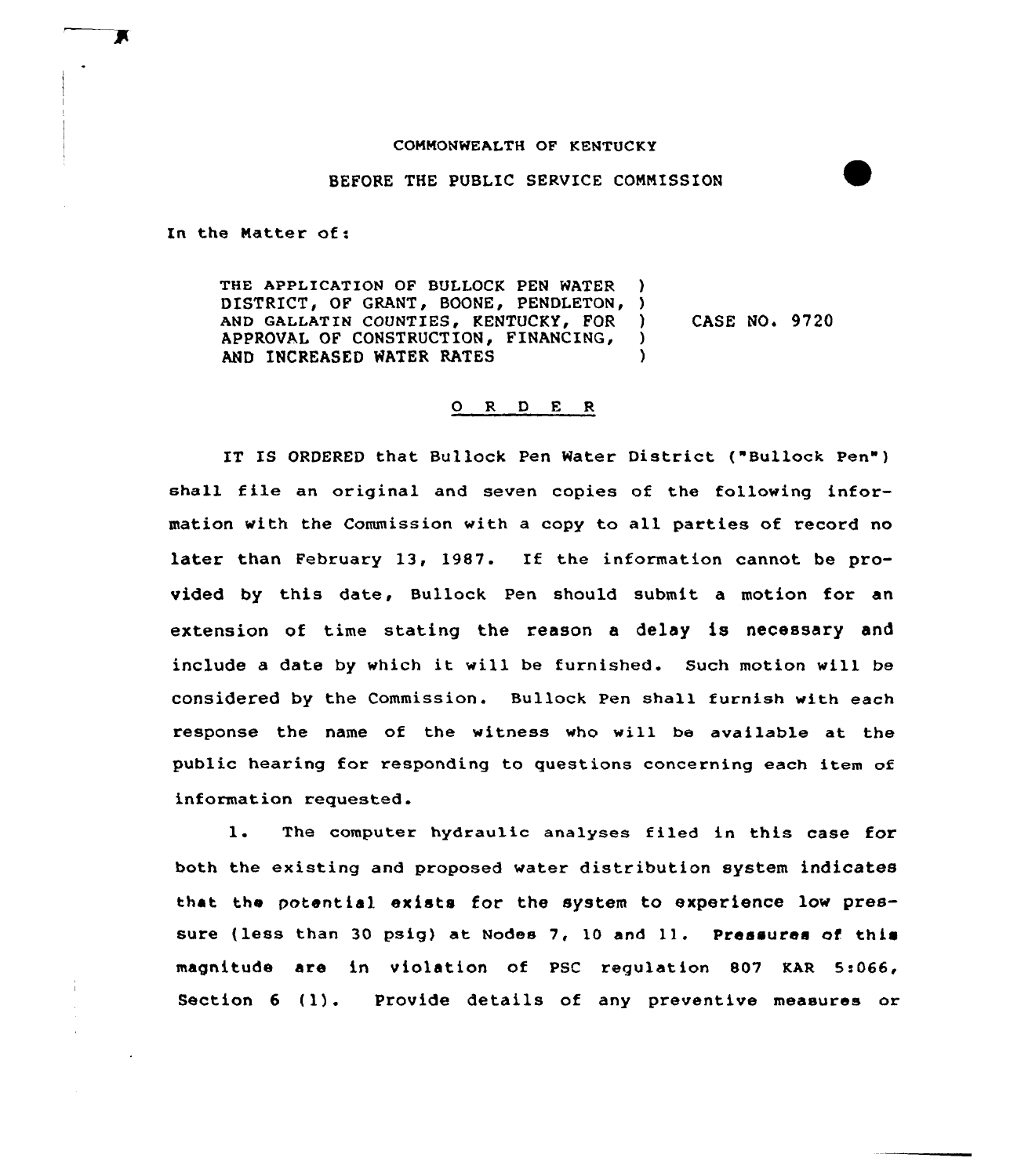#### CONNONWEALTH OF KENTUCKY

#### BEFORE THE PUBLIC SERVICE CONNISSION

In the Matter of:

Х

÷

THE APPLICATION OF BULLOCK PEN WATER DISTRICT, OF GRANT, BOONE, PENDLETON, ) AND GALLATIN COUNTIES, KENTUCKY, FOR )<br>APPROVAL OF CONSTRUCTION. FINANCING. APPROVAL OF CONSTRUCTION, FINANCING, AND INCREASED WATER RATES (1998) CASE NO. 9720

#### 0 R <sup>D</sup> E <sup>R</sup>

IT IS ORDERED that Bullock Pen Water District ("Bullock Pen") shall file an original and seven copies of the following information with the Commission with a copy to all parties of record no later than February 13, 1987. If the information cannot be provided by this date, Bullock Pen should submit a motion for an extension of time stating the reason a delay is necessary and include <sup>a</sup> date by which it will be fuxnished. Such motion vill be considered by the Commission. Bullock pen shall furnish with each response the name of the witness who will be available at the public hearing for responding to questions concerning each item af information requested.

1. The computer hydraulic analyses filed in this case for both the existing and proposed water distribution system indicates that the potential exists for the system to experience lov pressure (less than 30 psig) at Nodes 7, 10 and 11. Pressures of this magnitude are in violation of PSC requlation 807 KAR 5:066, Section <sup>6</sup> (1). Provide details of any preventive measures or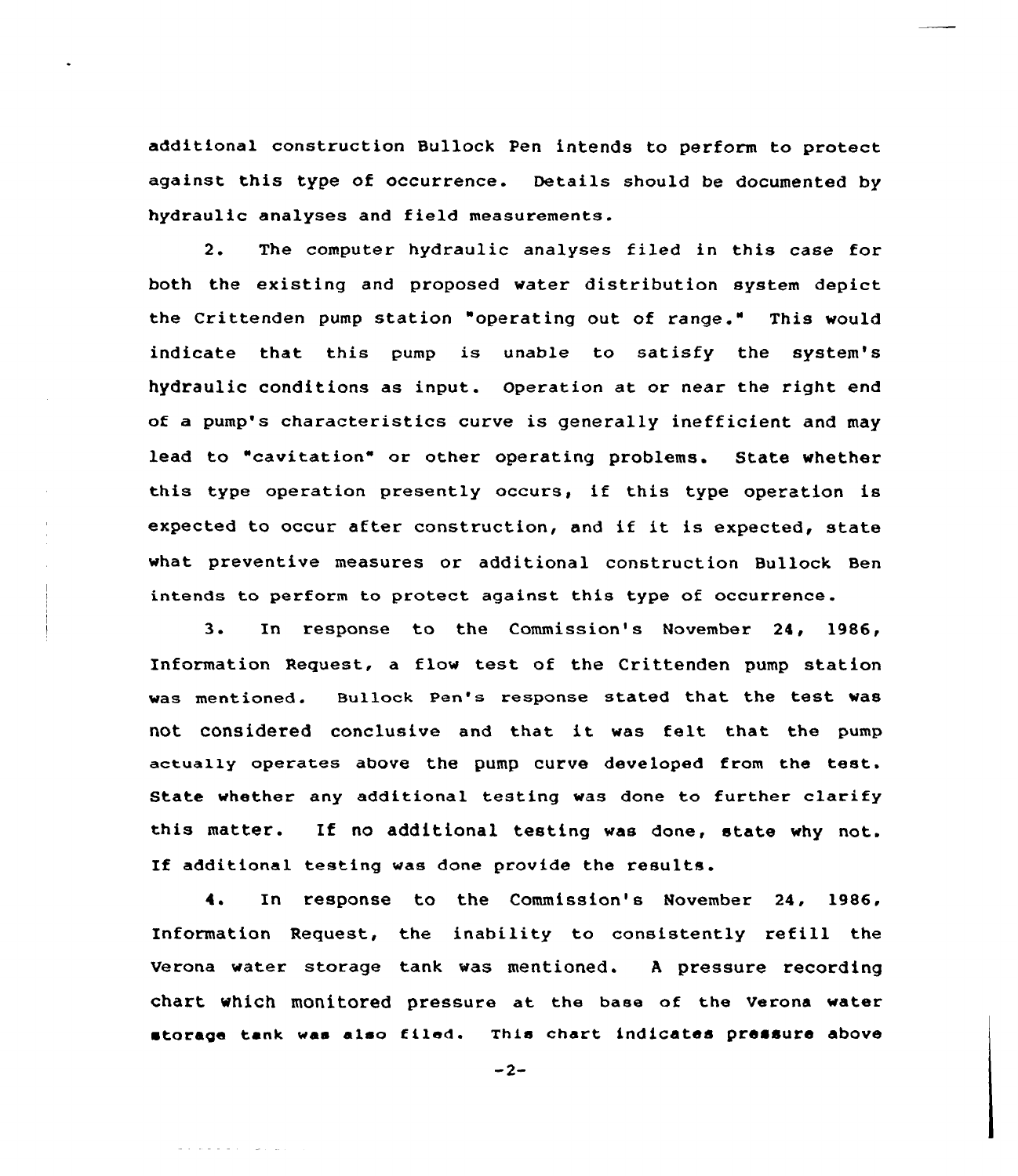additional construction Bullock Pen intends to perform to protect against this type of occurrence. Details should be documented by hydraulic analyses and field measurements.

2. The computer hydraulic analyses filed in this case for both the existing and proposed water distribution system depict the Crittenden pump station "operating out of range." This would indicate that this pump is unable to satisfy the system's hydraulic conditions as input. Operation at or near the right end of a pump's characteristics curve is generally inefficient and may lead to "cavitation" or other operating problems. State whether this type operation presently occurs, if this type operation is expected to occur after construction, and if it is expected, state what preventive measures or additional construction Bullock Ben intends to perform to protect against this type of occurrence.

3. In response to the Commission's November 24, 1986, Information Request, a flow test of the Crittenden pump station was mentioned. Bullock Pen's response stated that the test was not considered conclusive and that it was felt that the pump actually operates above the pump curve developed from the test. State whether any additional testing was done to further clarify this matter. If no additional testing was done, state why not. If additional testing was done provide the results.

4. In response to the Commission's November 24, 1986, Information Request, the inability to consistently refill the verona water storage tank was mentioned. <sup>A</sup> pressure recording chart which monitored pressure at the base of the verona water storage tank was alao filed. This chart indicates pressure above

 $-2-$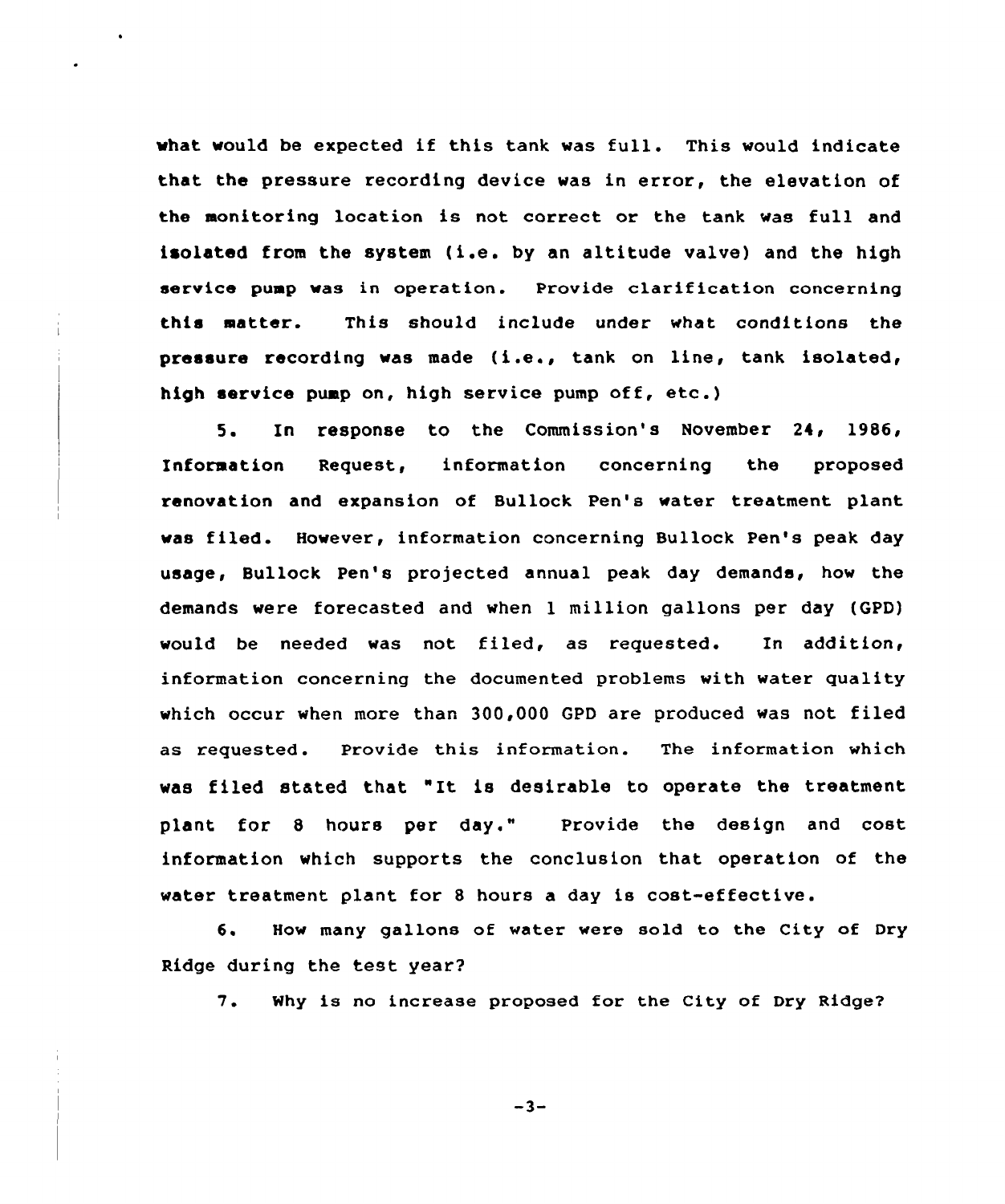what would be expected if this tank was full. This would indicate that the pressure recording device was in error, the elevation of the monitoring location is not correct or the tank was full and isolated from the system (i.e. by an altitude valve) and the high service puap was in operation. Provide clarification concerning this matter. This should include under what conditions the pressure recording was made (i.e., tank on line, tank isolated, high service pump on, high service pump off, etc.)

5. In response to the Commission's November 24, 1986, Information Request, information concerning the proposed renovation and expansion of Bullock Pen's water treatment plant was filed. However, information concerning Bullock Pen's peak day usage, Bullock Pen's projected annual peak day demands, how the demands were forecasted and when <sup>1</sup> million gallons per day (GPD) would be needed was not filed, as requested. In addition, information concerning the documented problems with water quality which occur when more than 300,000 GPD are produced was not filed as requested. Provide this information. The information which was filed stated that " It is desirable to operate the treatment plant for 8 hours per day." Provide the design and cost information which supports the conclusion that operation of the water treatment plant for <sup>8</sup> hours a day is cost-effective.

6. How many gallons of water were sold to the City of Dry Ridge during the test year?

7. Why is no increase proposed for the City of Dry Ridge2

 $-3-$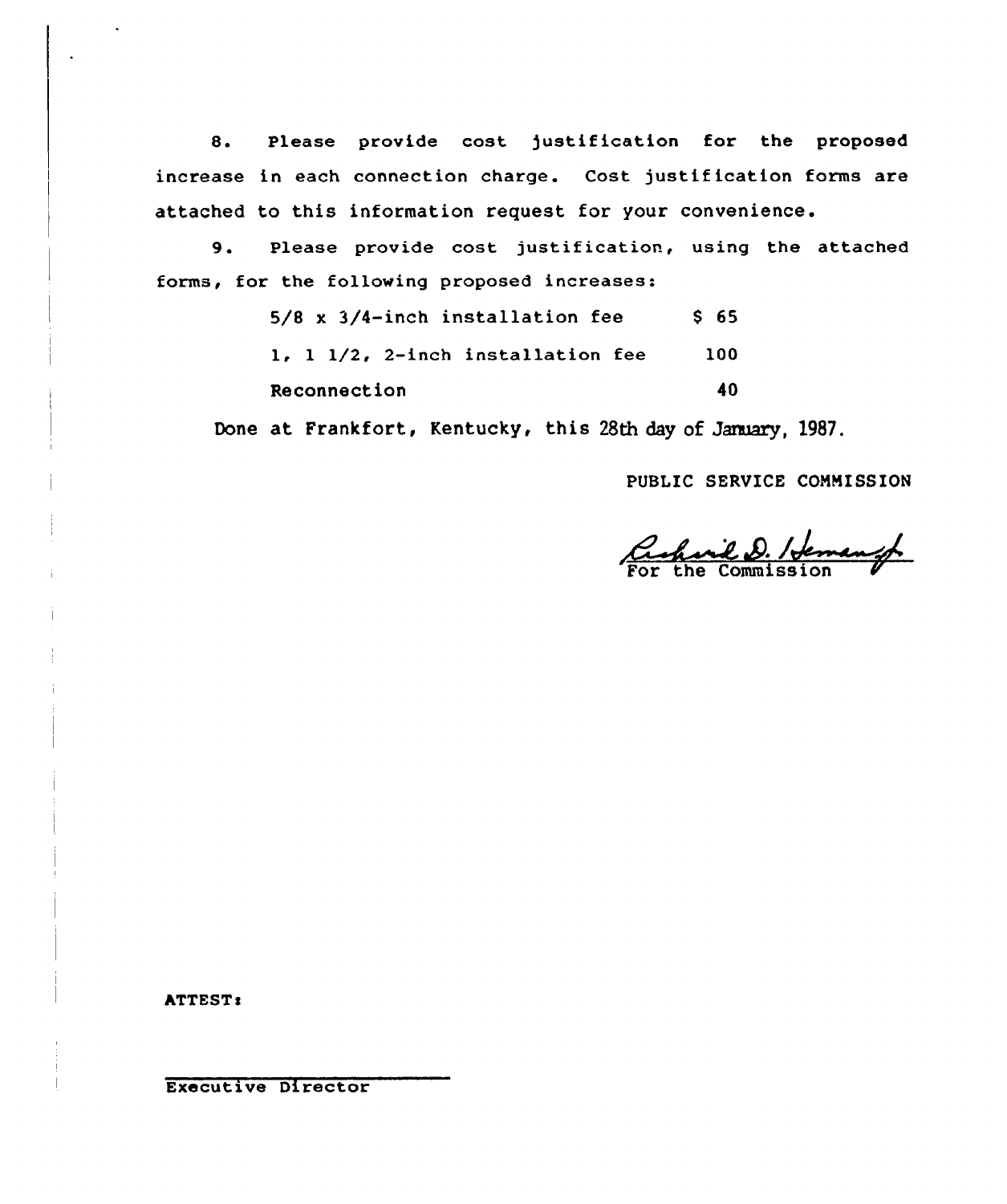8. Please provide cost justification for the proposed increase in each connection charge. Cost justification forms are attached to this information request for your convenience.

9. Please provide cost justification, using the attached forms, for the following proposed increases:

| $5/8$ x $3/4$ -inch installation fee | S 65      |
|--------------------------------------|-----------|
| 1, 1 1/2, 2-inch installation fee    | 100       |
| Reconnection                         | <b>40</b> |

Done at Frankfort, Kentucky, this 28th day of Jaraary, 1987.

PUBLIC SERVICE CONNISSION

acharil D. Hemangt

hTTEST I

Executive Director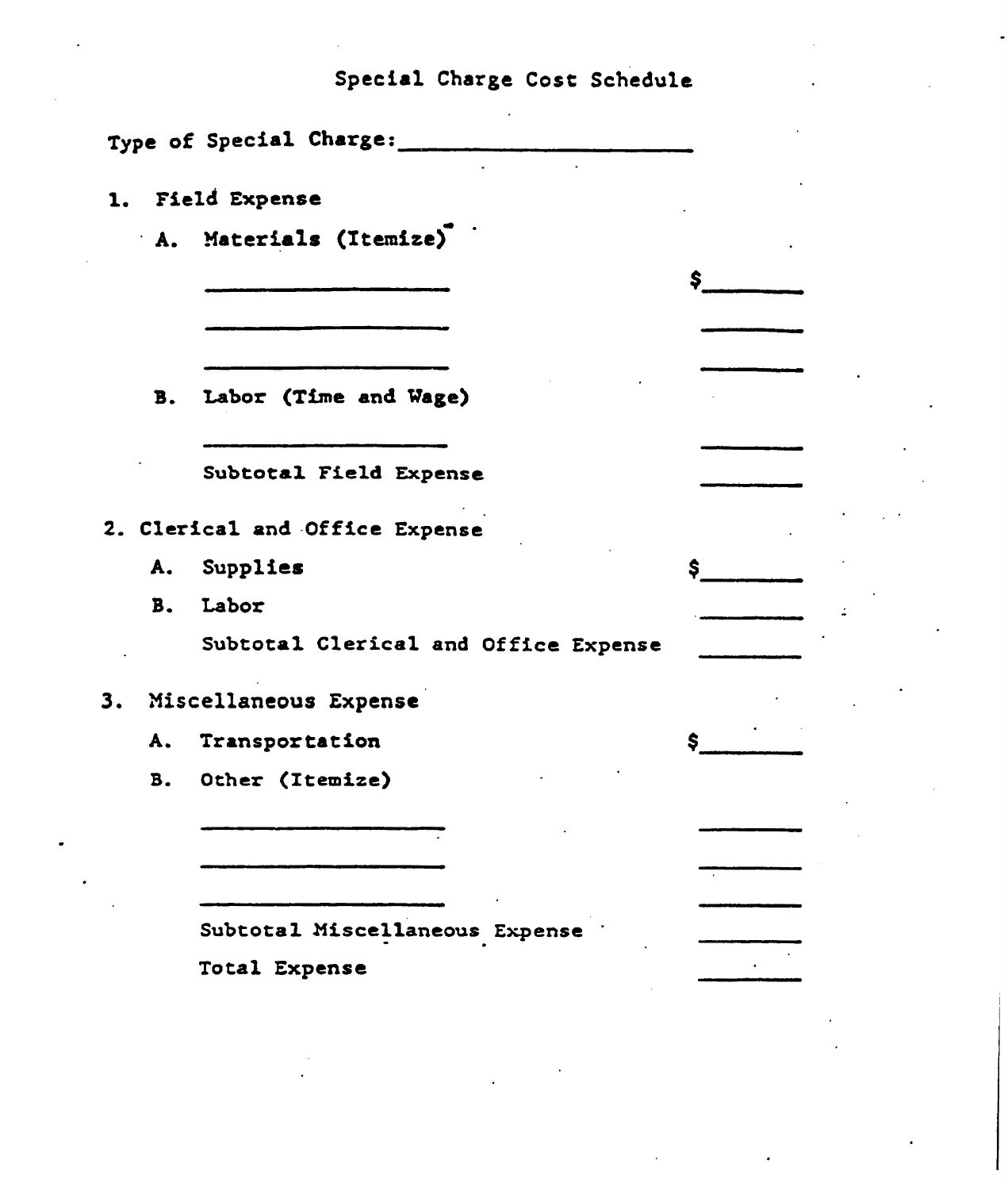# Special Charge Cost Schedule

|    | Type of Special Charge:                         |    |
|----|-------------------------------------------------|----|
|    | 1. Field Expense                                |    |
|    | A. Materials (Itemize)                          |    |
|    |                                                 | \$ |
|    |                                                 |    |
|    | B. Labor (Time and Wage)                        |    |
|    | Subtotal Field Expense                          |    |
|    | 2. Clerical and Office Expense                  |    |
|    | A. Supplies                                     | \$ |
|    | B. Labor                                        |    |
|    | Subtotal Clerical and Office Expense            |    |
| 3. | Miscellaneous Expense                           |    |
|    | A. Transportation                               |    |
|    | B. Other (Itemize)                              |    |
|    |                                                 |    |
|    |                                                 |    |
|    |                                                 |    |
|    | Subtotal Miscellaneous Expense<br>Total Expense |    |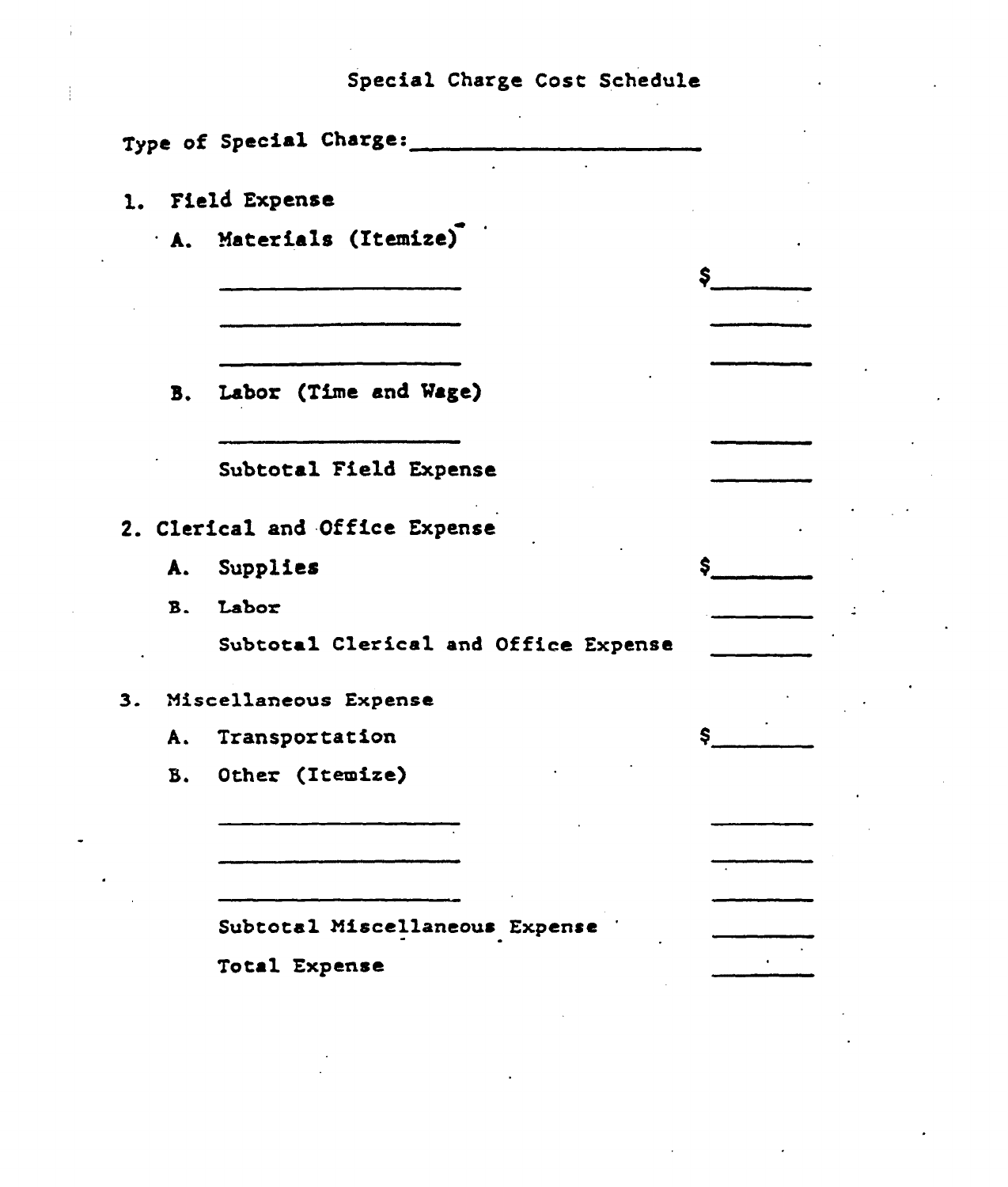|  |  | Special Charge Cost Schedule |
|--|--|------------------------------|

 $\label{eq:2.1} \frac{1}{2}\sum_{i=1}^n\frac{1}{2}\sum_{j=1}^n\frac{1}{2}\sum_{j=1}^n\frac{1}{2}\sum_{j=1}^n\frac{1}{2}\sum_{j=1}^n\frac{1}{2}\sum_{j=1}^n\frac{1}{2}\sum_{j=1}^n\frac{1}{2}\sum_{j=1}^n\frac{1}{2}\sum_{j=1}^n\frac{1}{2}\sum_{j=1}^n\frac{1}{2}\sum_{j=1}^n\frac{1}{2}\sum_{j=1}^n\frac{1}{2}\sum_{j=1}^n\frac{1}{2}\sum_{j=1}^n\$ 

|       | 1. Field Expense<br>A. Materials (Itemize) |     |
|-------|--------------------------------------------|-----|
|       |                                            | \$  |
|       |                                            |     |
|       |                                            |     |
|       | B. Labor (Time and Wage)                   |     |
|       |                                            |     |
|       | Subtotal Field Expense                     |     |
|       | 2. Clerical and Office Expense             |     |
|       | A. Supplies                                | \$  |
| $B -$ | Labor                                      |     |
|       | Subtotal Clerical and Office Expense       |     |
|       | 3. Miscellaneous Expense                   |     |
| A.    | Transportation                             | \$. |
|       | B. Other (Itemize)                         |     |
|       |                                            |     |
|       |                                            |     |
|       |                                            |     |
|       | Subtotal Miscellaneous Expense             |     |
|       | Total Expense                              |     |
|       |                                            |     |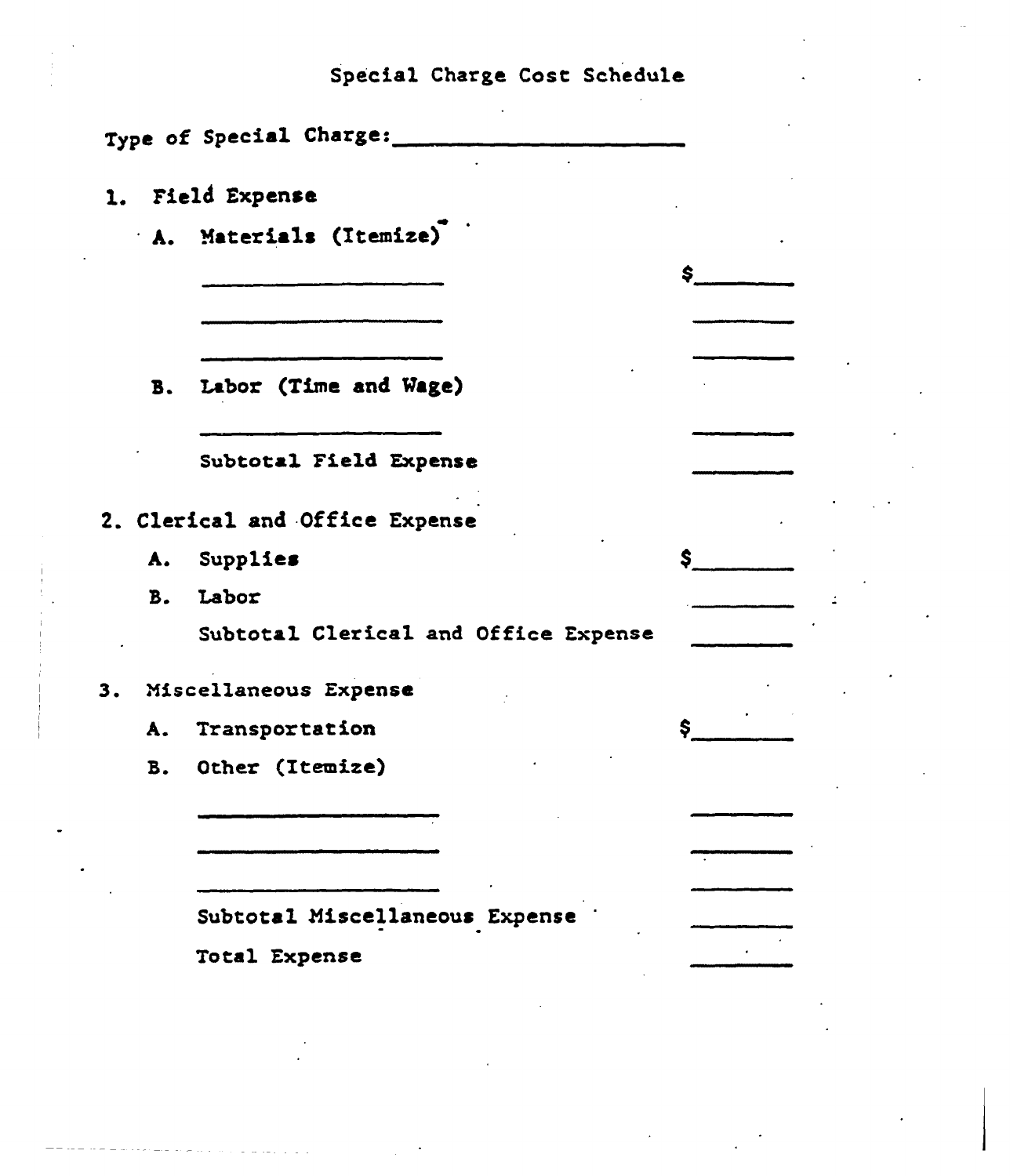Special Charge Cost Schedule

|           | Type of Special Charge:              |     |  |
|-----------|--------------------------------------|-----|--|
|           | 1. Field Expense                     |     |  |
|           | A. Materials (Itemize)               |     |  |
|           |                                      | \$. |  |
|           |                                      |     |  |
|           |                                      |     |  |
|           | B. Labor (Time and Wage)             |     |  |
|           |                                      |     |  |
|           | Subtotal Field Expense               |     |  |
|           | 2. Clerical and Office Expense       |     |  |
|           | A. Supplies                          | \$  |  |
|           | B. Labor                             |     |  |
|           | Subtotal Clerical and Office Expense |     |  |
|           | 3. Miscellaneous Expense             |     |  |
|           | A. Transportation                    |     |  |
| <b>B.</b> | Other (Itemize)                      |     |  |
|           |                                      |     |  |
|           |                                      |     |  |
|           |                                      |     |  |
|           | Subtotal Miscellaneous Expense       |     |  |
|           | Total Expense                        |     |  |
|           |                                      |     |  |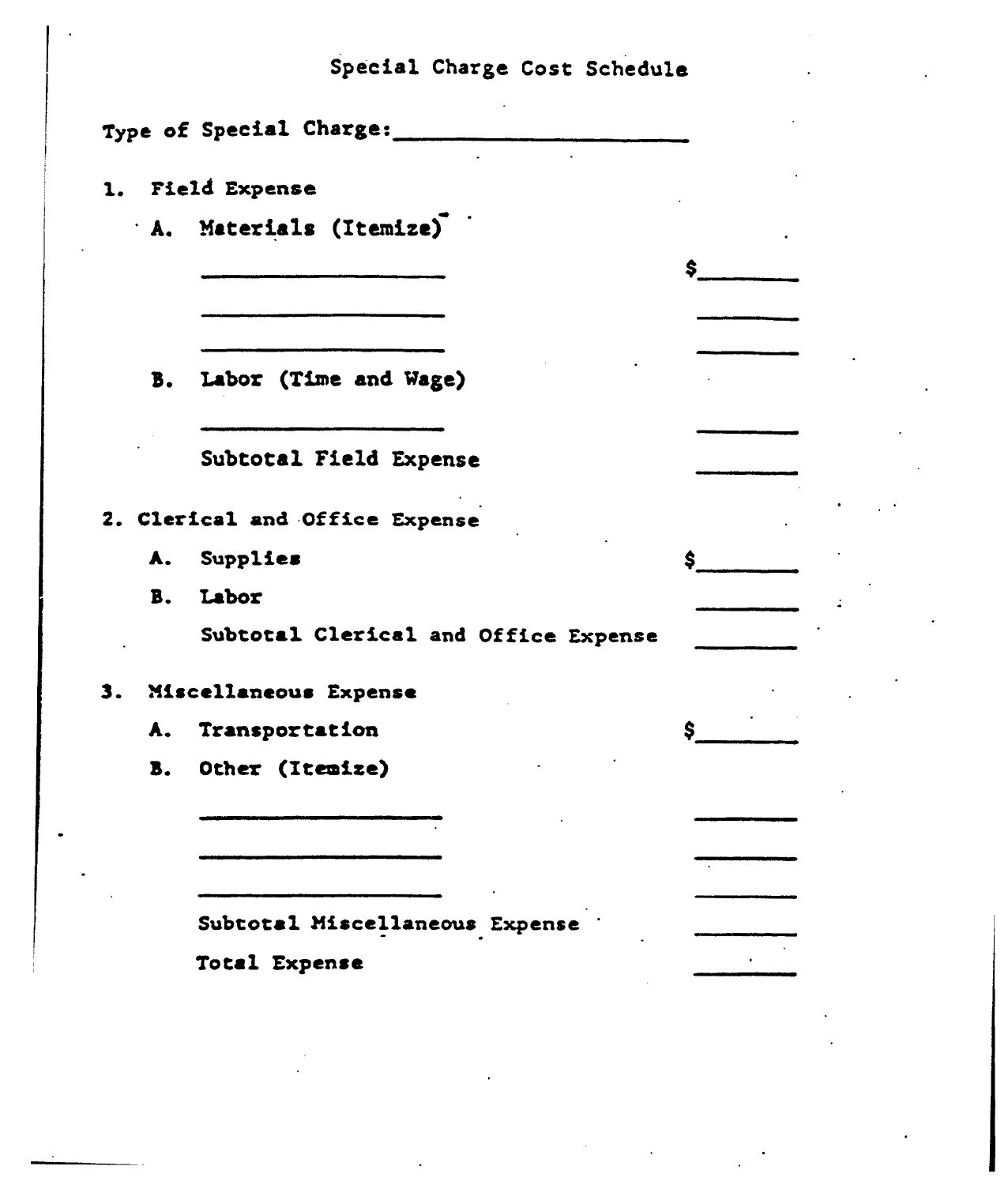|    | Special Charge Cost Schedule         |    |
|----|--------------------------------------|----|
|    | Type of Special Charge:              |    |
|    | 1. Field Expense                     |    |
|    | A. Materials (Itemize)               |    |
|    |                                      | \$ |
|    |                                      |    |
|    | B. Labor (Time and Wage)             |    |
|    | Subtotal Field Expense               |    |
|    | 2. Clerical and Office Expense       |    |
| A. | Supplies                             | \$ |
| B. | Labor                                |    |
|    | Subtotal Clerical and Office Expense |    |
|    | 3. Miscellaneous Expense             |    |
| Å. | Transportation                       | \$ |
| B. | Other (Itemize)                      |    |
|    |                                      |    |
|    |                                      |    |
|    | Subtotal Miscellaneous Expense       |    |
|    | Total Expense                        |    |
|    |                                      |    |
|    |                                      |    |
|    |                                      |    |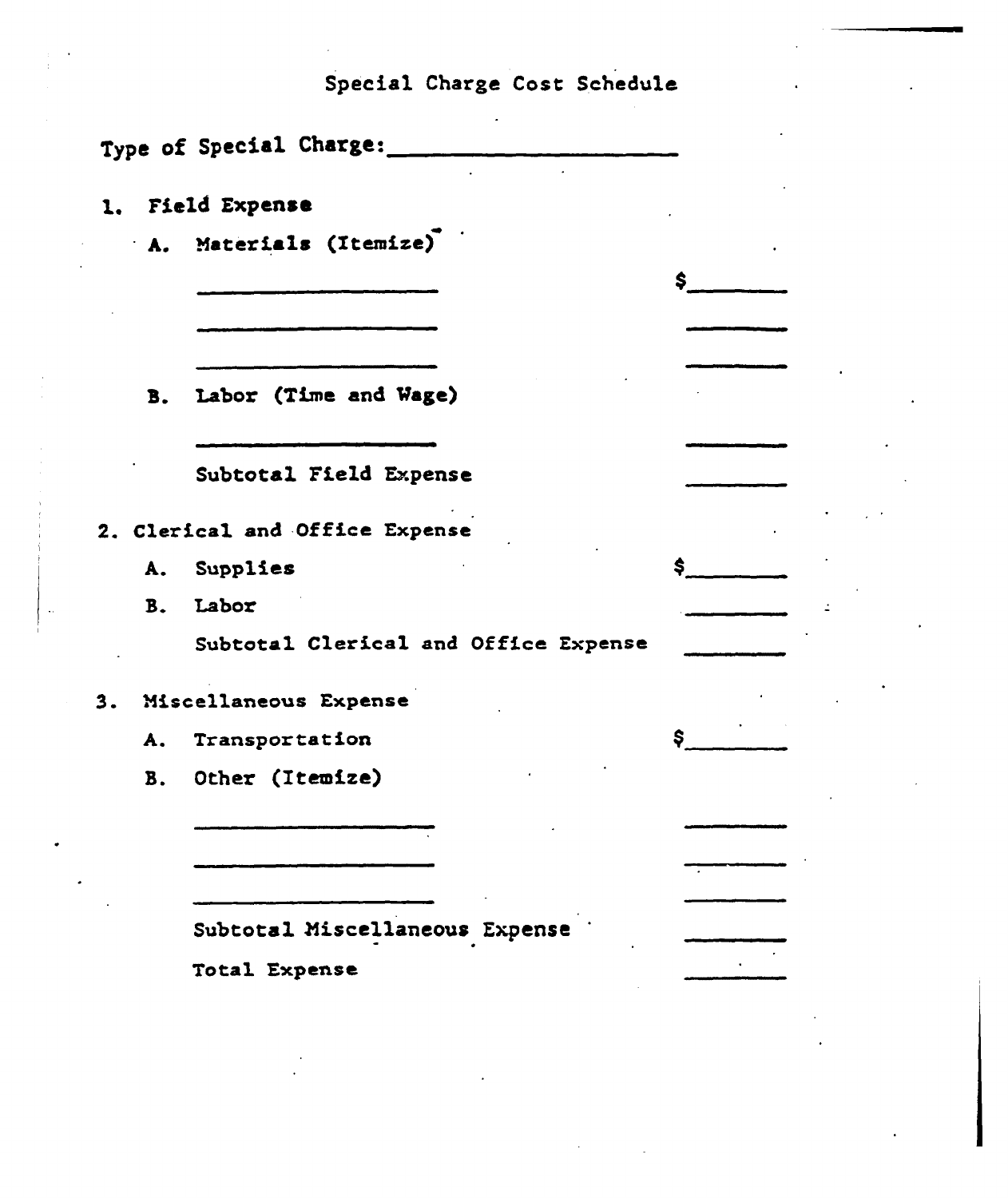Special Charge Cost Schedule

 $\ddot{\phantom{a}}$ 

| Type of Special Charge:              |     |  |
|--------------------------------------|-----|--|
| 1. Field Expense                     |     |  |
| A. Materials (Itemize)               |     |  |
|                                      | \$  |  |
|                                      |     |  |
| B. Labor (Time and Wage)             |     |  |
| Subtotal Field Expense               |     |  |
| 2. Clerical and Office Expense       |     |  |
| A. Supplies                          | \$. |  |
| B. Labor                             |     |  |
| Subtotal Clerical and Office Expense |     |  |
| 3. Miscellaneous Expense             |     |  |
| A. Transportation                    | \$. |  |
| B. Other (Itemize)                   |     |  |
|                                      |     |  |
|                                      |     |  |
| Subtotal Miscellaneous Expense       |     |  |
| Total Expense                        |     |  |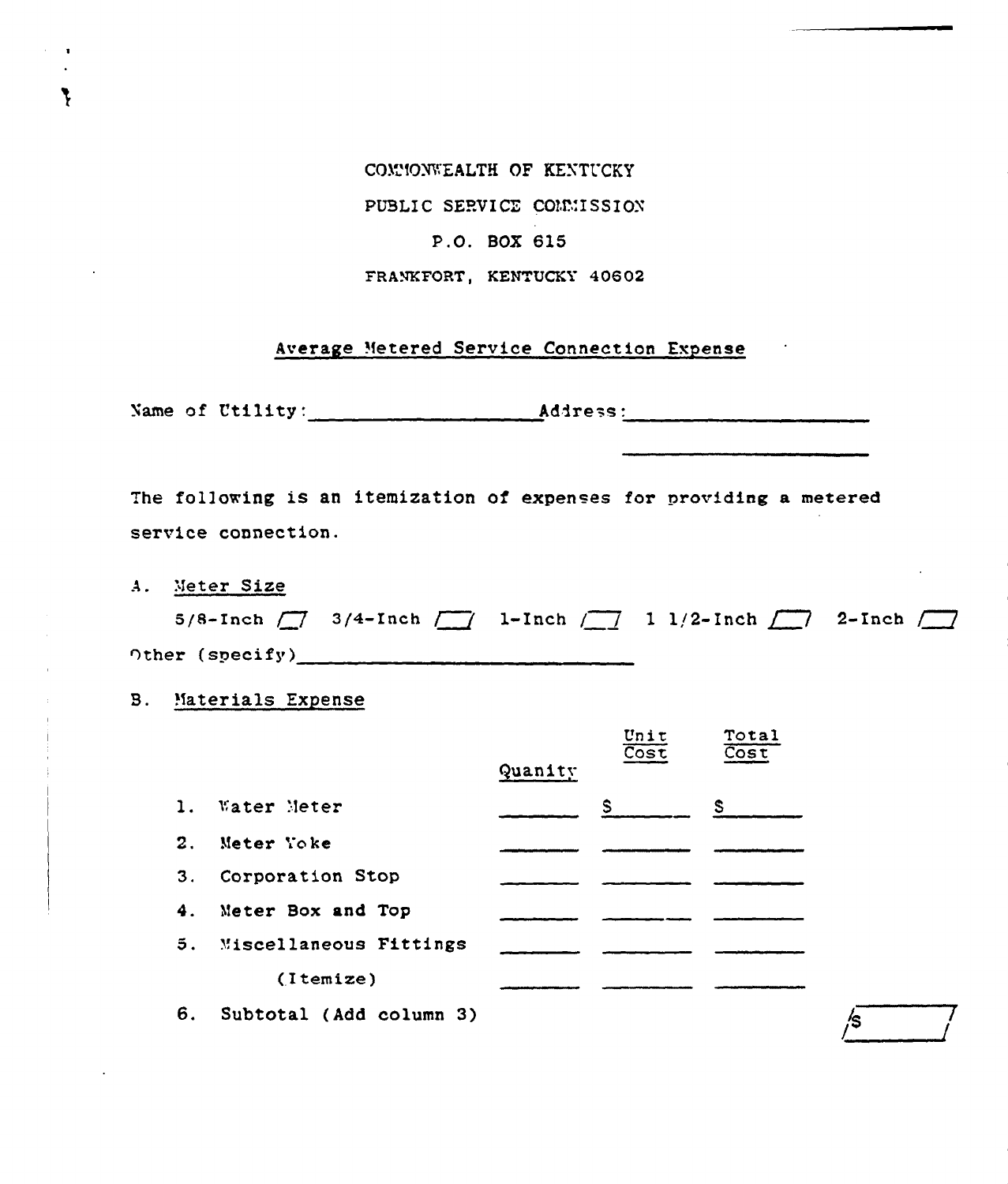COMMONWEALTH OF KENTUCKY PUBLIC SERVICE COMMISSION P.O. BOX 615 FRANKFORT, KENTUCKY 40602

Average Metered Service Connection Expense

The following is an itemization of expenses for providing a metered service connection.

A. Meter Size

5/8-Inch  $\boxed{\phantom{1}}$  3/4-Inch  $\boxed{\phantom{1}}$  1-Inch  $\boxed{\phantom{1}}$  1 1/2-Inch  $\boxed{\phantom{1}}$  2-Inch  $\boxed{\phantom{1}}$ Other (specify)  $\qquad \qquad$   $\qquad$   $\qquad$   $\qquad$   $\qquad$   $\qquad$   $\qquad$   $\qquad$   $\qquad$   $\qquad$   $\qquad$   $\qquad$   $\qquad$   $\qquad$   $\qquad$   $\qquad$   $\qquad$   $\qquad$   $\qquad$   $\qquad$   $\qquad$   $\qquad$   $\qquad$   $\qquad$   $\qquad$   $\qquad$   $\qquad$   $\qquad$   $\qquad$   $\qquad$   $\qquad$   $\qquad$   $\qquad$   $\qquad$ 

**B.** Materials Expense

|    |                           |         | Unit<br>$\overline{\text{Cost}}$ | Total<br><b>Cost</b> |
|----|---------------------------|---------|----------------------------------|----------------------|
|    |                           | Quanity |                                  |                      |
|    | 1. Water Meter            |         | $S \sim 1$                       | $S_{-}$              |
| 2. | Meter Yoke                |         |                                  |                      |
| 3. | Corporation Stop          |         |                                  |                      |
|    | 4. Meter Box and Top      |         |                                  |                      |
|    | 5. Miscellaneous Fittings |         |                                  |                      |
|    | (Itemize)                 |         |                                  |                      |
| 6. | Subtotal (Add column 3)   |         |                                  |                      |

/S

7

 $\overline{\phantom{a}}$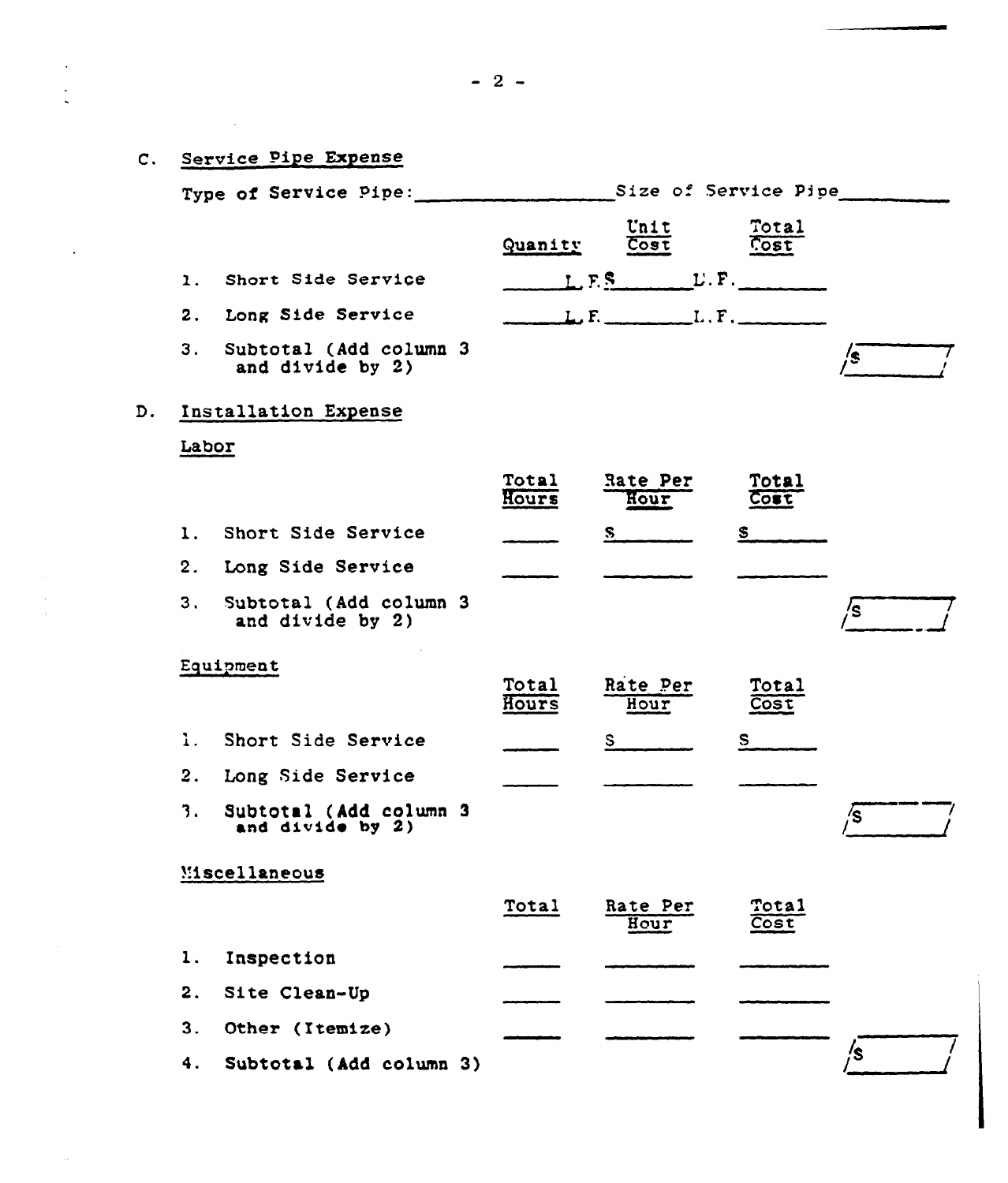|    |                |                                              | $-2-$          |                                   |               |    |
|----|----------------|----------------------------------------------|----------------|-----------------------------------|---------------|----|
|    |                | C. Service Pipe Expense                      |                |                                   |               |    |
|    |                | Type of Service Pipe:                        |                | Size of Service Pipe              |               |    |
|    |                |                                              | Quanity        | Unit<br>Cost                      | Total<br>Cost |    |
|    | $\mathbf{1}$ . | Short Side Service                           |                | $L.F.S.$ $L.F.$                   |               |    |
|    |                | 2. Long Side Service                         |                | $L, F,$ $\ldots$ $L, F,$ $\ldots$ |               |    |
|    | 3 <sub>1</sub> | Subtotal (Add column 3<br>and divide by 2)   |                |                                   |               | /s |
| D. |                | Installation Expense                         |                |                                   |               |    |
|    | Labor          |                                              |                |                                   |               |    |
|    |                |                                              | Total<br>Hours | Rate Per<br>Hour                  | Total<br>Cost |    |
|    | 1.             | Short Side Service                           |                | S.                                | S             |    |
|    | 2.             | Long Side Service                            |                |                                   |               |    |
|    | 3.             | Subtotal (Add column 3<br>and divide by 2)   |                |                                   |               | /s |
|    |                | Equipment                                    |                |                                   |               |    |
|    |                |                                              | Total<br>Hours | Rate Per<br>Hour                  | Total<br>Cost |    |
|    |                | 1. Short Side Service                        |                | S                                 | S             |    |
|    | 2.             | Long Side Service                            |                |                                   |               |    |
|    | 3.             | Subtotal (Add column 3<br>and $divide$ by 2) |                |                                   |               | /S |
|    |                | Miscellaneous                                |                |                                   |               |    |
|    |                |                                              | Total          | Rate Per<br>Hour                  | Total<br>Cost |    |
|    | 1.             | Inspection                                   |                |                                   |               |    |
|    | 2.             | Site Clean-Up                                |                |                                   |               |    |
|    | 3.             | Other (Itemize)                              |                |                                   |               |    |
|    |                | 4. Subtotal (Add column 3)                   |                |                                   |               |    |

i.<br>R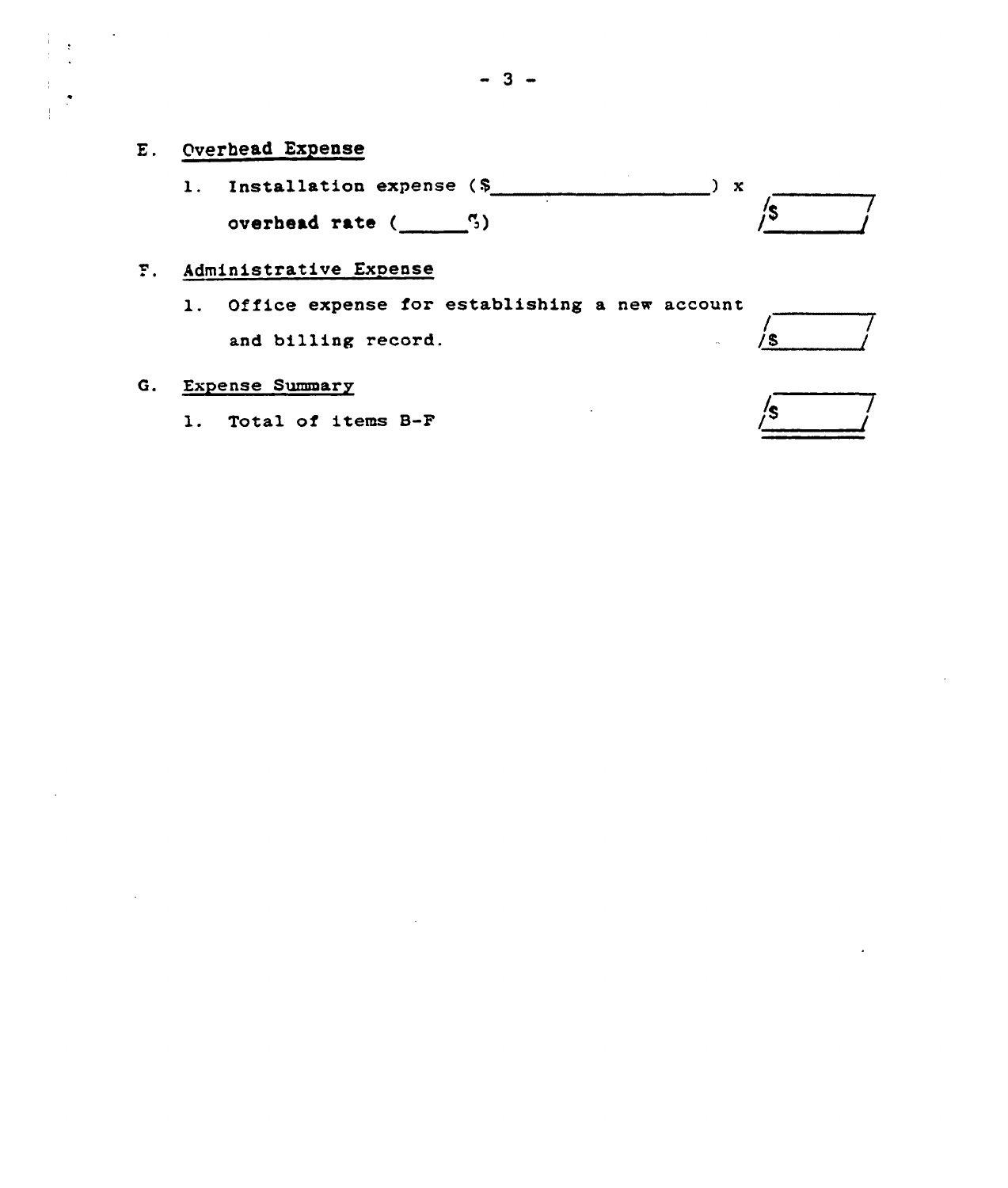1. Installation expense (\$ overhead rate  $(\underline{\hspace{1cm}}^5)$  $) x$  $\sqrt{s}$ 

## P. Administrative Expense

l. Office expense for establishing <sup>a</sup> new account and billing record.

# G. Expense Summary

1. Total of items B-F

| 72 |  |
|----|--|
|    |  |

 $\frac{1}{s}$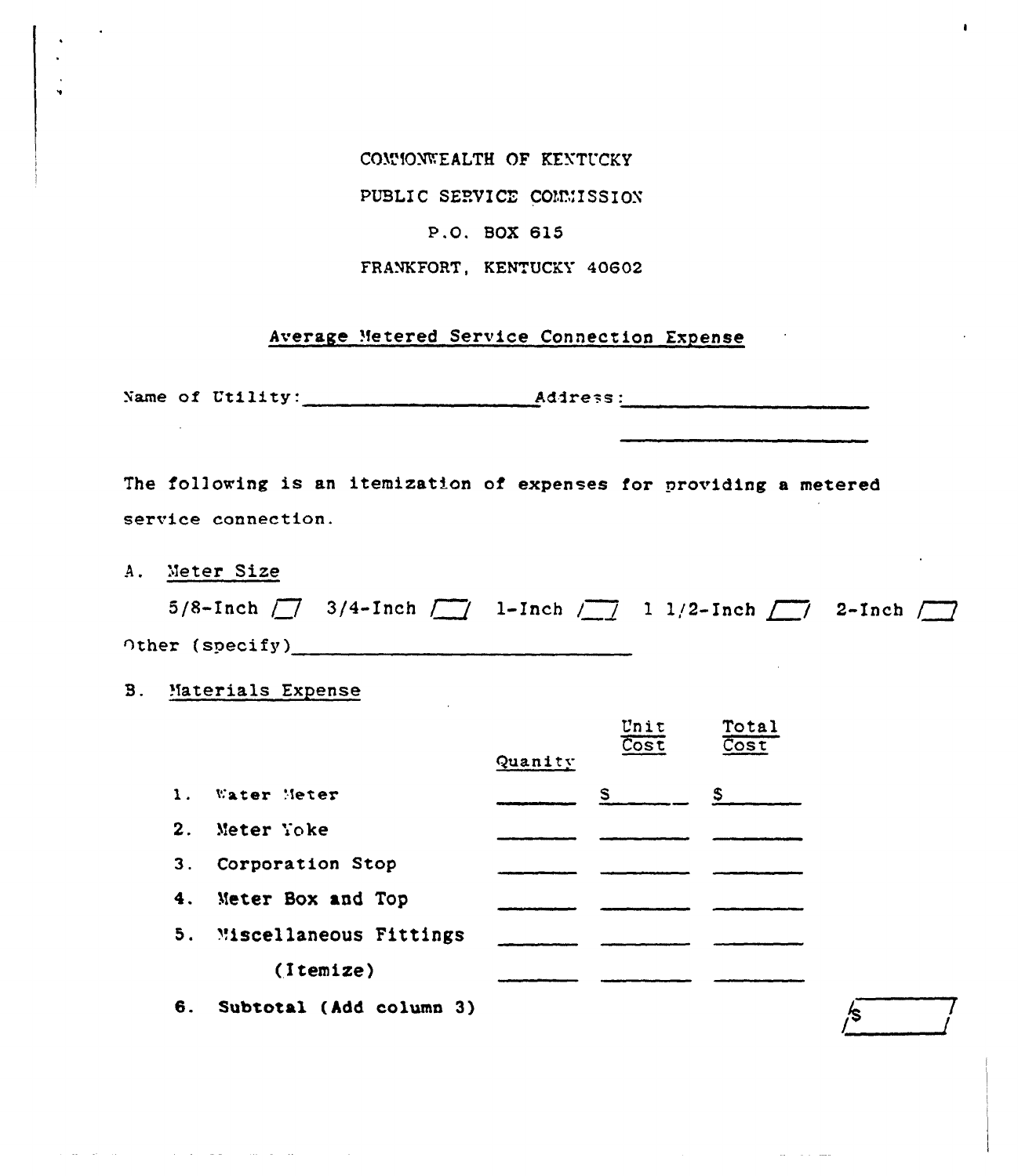#### COMMONWEALTH OF KENTUCKY

 $\blacksquare$ 

PUBLIC SERVICE CONNISSION

#### P.O. BOX 615

FRANKFORT, KENTUCKY 40602

#### Average Metered Service Connection Expense

The following is an itemization of expenses for providing a metered service connection.

A. Meter Size

المتواصل للقارب

|                       | 5/8-Inch $\boxed{\phantom{1}}$ 3/4-Inch $\boxed{\phantom{1}}$ 1-Inch $\boxed{\phantom{1}}$ 1 1/2-Inch $\boxed{\phantom{1}}$ 2-Inch $\boxed{\phantom{1}}$ |  |  |  |
|-----------------------|----------------------------------------------------------------------------------------------------------------------------------------------------------|--|--|--|
| $\cap$ ther (specify) |                                                                                                                                                          |  |  |  |

 $\bullet$   $\bullet$   $\bullet$   $\bullet$ 

′\$

**B.** Materials Expense

 $\mathcal{L}^{\mathcal{L}}(\mathcal{L}^{\mathcal{L}}(\mathcal{L}^{\mathcal{L}}(\mathcal{L}^{\mathcal{L}}(\mathcal{L}^{\mathcal{L}}(\mathcal{L}^{\mathcal{L}}(\mathcal{L}^{\mathcal{L}}(\mathcal{L}^{\mathcal{L}}(\mathcal{L}^{\mathcal{L}}(\mathcal{L}^{\mathcal{L}}(\mathcal{L}^{\mathcal{L}}(\mathcal{L}^{\mathcal{L}}(\mathcal{L}^{\mathcal{L}}(\mathcal{L}^{\mathcal{L}}(\mathcal{L}^{\mathcal{L}}(\mathcal{L}^{\mathcal{L}}(\mathcal{L}^{\mathcal{L$ 

|                |                        |         | unit<br>$\overline{\overline{\text{Cost}}}$ | TOTAI<br>$\overline{\text{Cost}}$ |
|----------------|------------------------|---------|---------------------------------------------|-----------------------------------|
|                |                        | Quanity |                                             |                                   |
| $\mathbf{1}$ . | Water Meter            |         | $S_{\perp}$                                 | S.                                |
| 2.             | Meter Yoke             |         |                                             |                                   |
| 3.             | Corporation Stop       |         |                                             |                                   |
| 4.             | Meter Box and Top      |         |                                             |                                   |
| 5.             | Miscellaneous Fittings |         |                                             |                                   |
|                | (Itemize)              |         |                                             |                                   |
|                |                        |         |                                             |                                   |

6. Subtotal (Add column 3)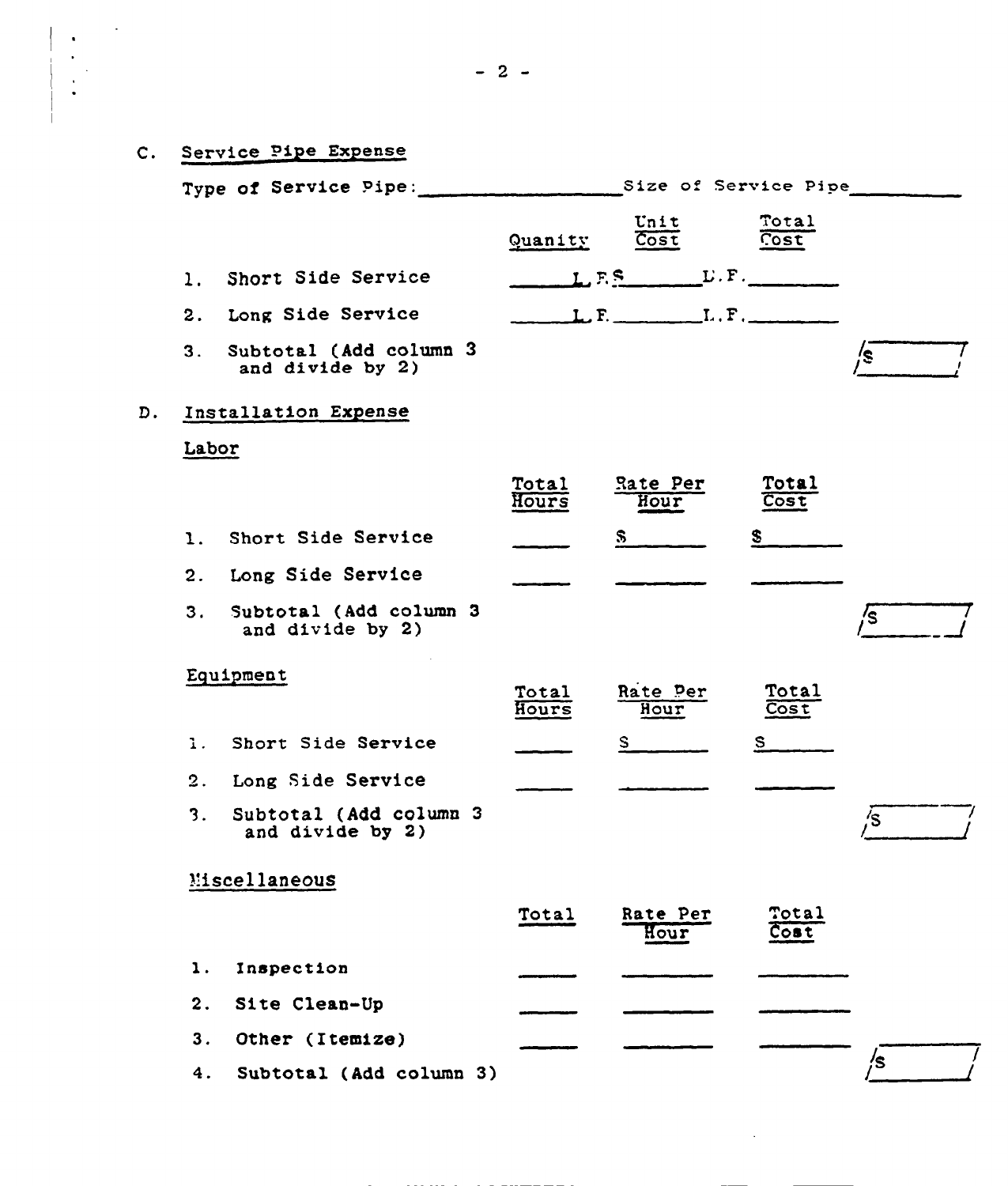| $\mathsf{c}$ . | Service Pipe Expense                           |                |                                                                                                                                                                                                                                                                                                                                                                                                                                                                                                                                                                                              |               |     |
|----------------|------------------------------------------------|----------------|----------------------------------------------------------------------------------------------------------------------------------------------------------------------------------------------------------------------------------------------------------------------------------------------------------------------------------------------------------------------------------------------------------------------------------------------------------------------------------------------------------------------------------------------------------------------------------------------|---------------|-----|
|                | Type of Service Pipe: Size of Service Pipe     |                |                                                                                                                                                                                                                                                                                                                                                                                                                                                                                                                                                                                              |               |     |
|                |                                                | Quanity        | Unit<br>$\overline{\text{Cost}}$                                                                                                                                                                                                                                                                                                                                                                                                                                                                                                                                                             | Total<br>Cost |     |
|                | 1. Short Side Service                          |                |                                                                                                                                                                                                                                                                                                                                                                                                                                                                                                                                                                                              |               |     |
|                | 2. Long Side Service                           |                | $L, F, \underline{\hspace{2cm}} L, F, \underline{\hspace{2cm}} L, \underline{\hspace{2cm}} F, \underline{\hspace{2cm}} \underline{\hspace{2cm}} L, \underline{\hspace{2cm}} F, \underline{\hspace{2cm}} \underline{\hspace{2cm}} L, \underline{\hspace{2cm}} F, \underline{\hspace{2cm}} \underline{\hspace{2cm}} L, \underline{\hspace{2cm}} F, \underline{\hspace{2cm}} \underline{\hspace{2cm}} L, \underline{\hspace{2cm}} \underline{\hspace{2cm}} L, \underline{\hspace{2cm}} \underline{\hspace{2cm}} L, \underline{\hspace{2cm}} \underline{\hspace{2cm}} L, \underline{\hspace{2cm$ |               |     |
|                | 3. Subtotal (Add column 3)<br>and divide by 2) |                |                                                                                                                                                                                                                                                                                                                                                                                                                                                                                                                                                                                              |               | /s∴ |
| D.             | Installation Expense                           |                |                                                                                                                                                                                                                                                                                                                                                                                                                                                                                                                                                                                              |               |     |
|                | Labor                                          |                |                                                                                                                                                                                                                                                                                                                                                                                                                                                                                                                                                                                              |               |     |
|                |                                                | Total<br>Hours | Rate Per<br>Hour                                                                                                                                                                                                                                                                                                                                                                                                                                                                                                                                                                             | Total<br>Cost |     |
|                | 1. Short Side Service                          |                | $S_{-}$                                                                                                                                                                                                                                                                                                                                                                                                                                                                                                                                                                                      | $\mathbf S$   |     |
|                | 2. Long Side Service                           |                |                                                                                                                                                                                                                                                                                                                                                                                                                                                                                                                                                                                              |               |     |
|                | 3. Subtotal (Add column 3<br>and divide by 2)  |                |                                                                                                                                                                                                                                                                                                                                                                                                                                                                                                                                                                                              |               | /s  |
|                | Equipment                                      | Total<br>Hours | Rate Per<br>Hour                                                                                                                                                                                                                                                                                                                                                                                                                                                                                                                                                                             | Total<br>Cost |     |
| 1.             | Short Side Service                             |                | S                                                                                                                                                                                                                                                                                                                                                                                                                                                                                                                                                                                            | S.            |     |
|                | 2. Long Side Service                           |                |                                                                                                                                                                                                                                                                                                                                                                                                                                                                                                                                                                                              |               |     |
| 3.             | Subtotal (Add column 3<br>and divide by 2)     |                |                                                                                                                                                                                                                                                                                                                                                                                                                                                                                                                                                                                              |               | /s  |
|                | Miscellaneous                                  |                |                                                                                                                                                                                                                                                                                                                                                                                                                                                                                                                                                                                              |               |     |
|                |                                                | Total          | Rate Per<br>Hour                                                                                                                                                                                                                                                                                                                                                                                                                                                                                                                                                                             | Total<br>Cost |     |
| 1.             | Inspection                                     |                |                                                                                                                                                                                                                                                                                                                                                                                                                                                                                                                                                                                              |               |     |
| 2.             | Site Clean-Up                                  |                |                                                                                                                                                                                                                                                                                                                                                                                                                                                                                                                                                                                              |               |     |
| 3.             | Other (Itemize)                                |                |                                                                                                                                                                                                                                                                                                                                                                                                                                                                                                                                                                                              |               |     |
| 4.             | Subtotal (Add column 3)                        |                |                                                                                                                                                                                                                                                                                                                                                                                                                                                                                                                                                                                              |               | /s  |

 $\mathcal{L}^{\text{max}}$ 

 $\begin{array}{|c|c|} \hline \rule{0pt}{2ex} \rule{0pt}{2ex} \rule{0pt}{2ex} \rule{0pt}{2ex} \rule{0pt}{2ex} \rule{0pt}{2ex} \rule{0pt}{2ex} \rule{0pt}{2ex} \rule{0pt}{2ex} \rule{0pt}{2ex} \rule{0pt}{2ex} \rule{0pt}{2ex} \rule{0pt}{2ex} \rule{0pt}{2ex} \rule{0pt}{2ex} \rule{0pt}{2ex} \rule{0pt}{2ex} \rule{0pt}{2ex} \rule{0pt}{2ex} \rule{0pt}{2ex} \rule{0pt}{2ex} \rule{0pt}{2ex} \rule{0pt}{2ex$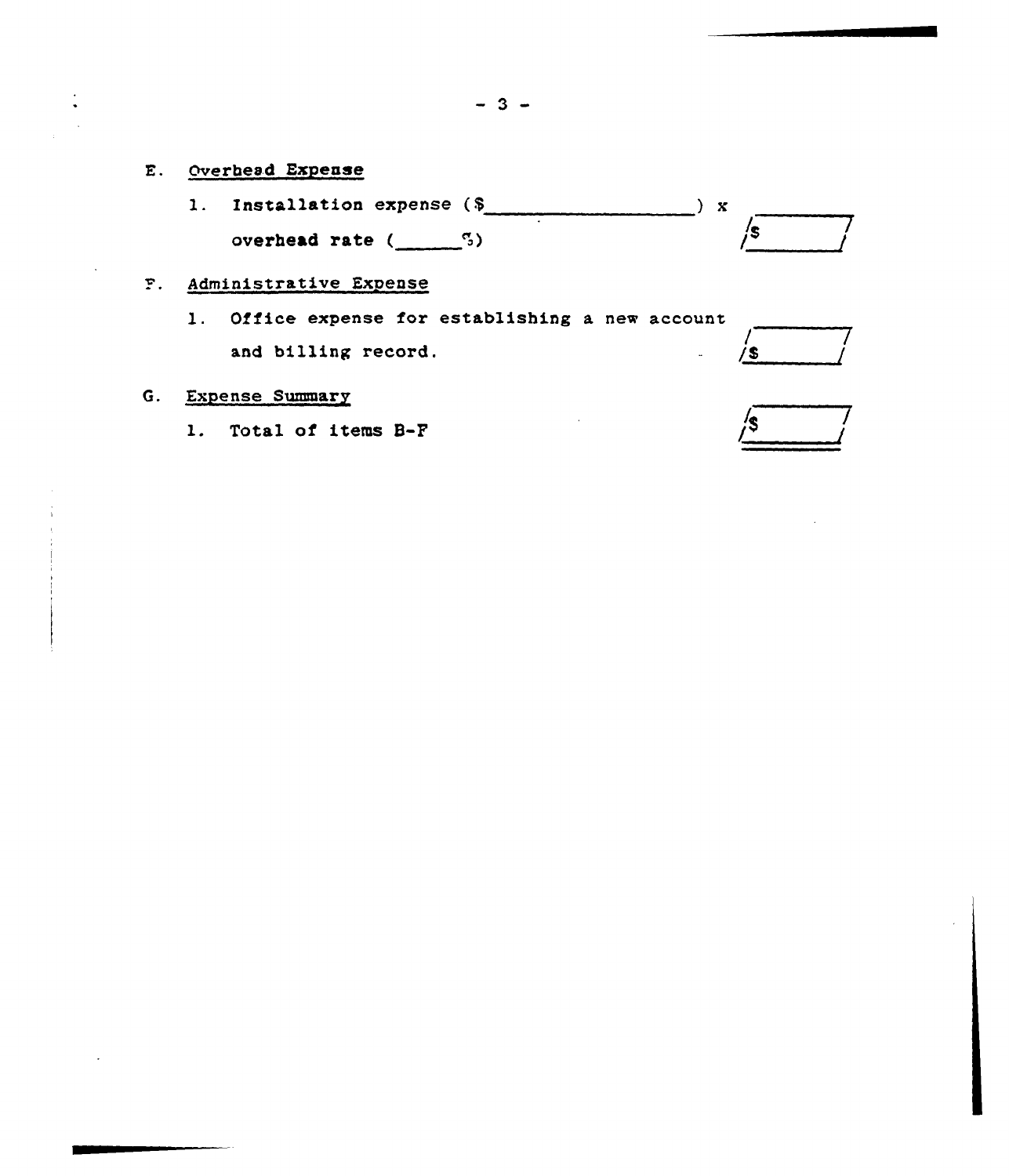- E. Overhead Expense
	- l. Installation expense (\$ overhead rate  $(\underline{\hspace{1cm}}^5)$  $\sim$   $\mathbf{x}$ / /S

## Administrative Expense

l. Office expense for establishing <sup>a</sup> new account and billing record.  $/$ s

#### G. Expense Summary

1. Total of items B-F

/g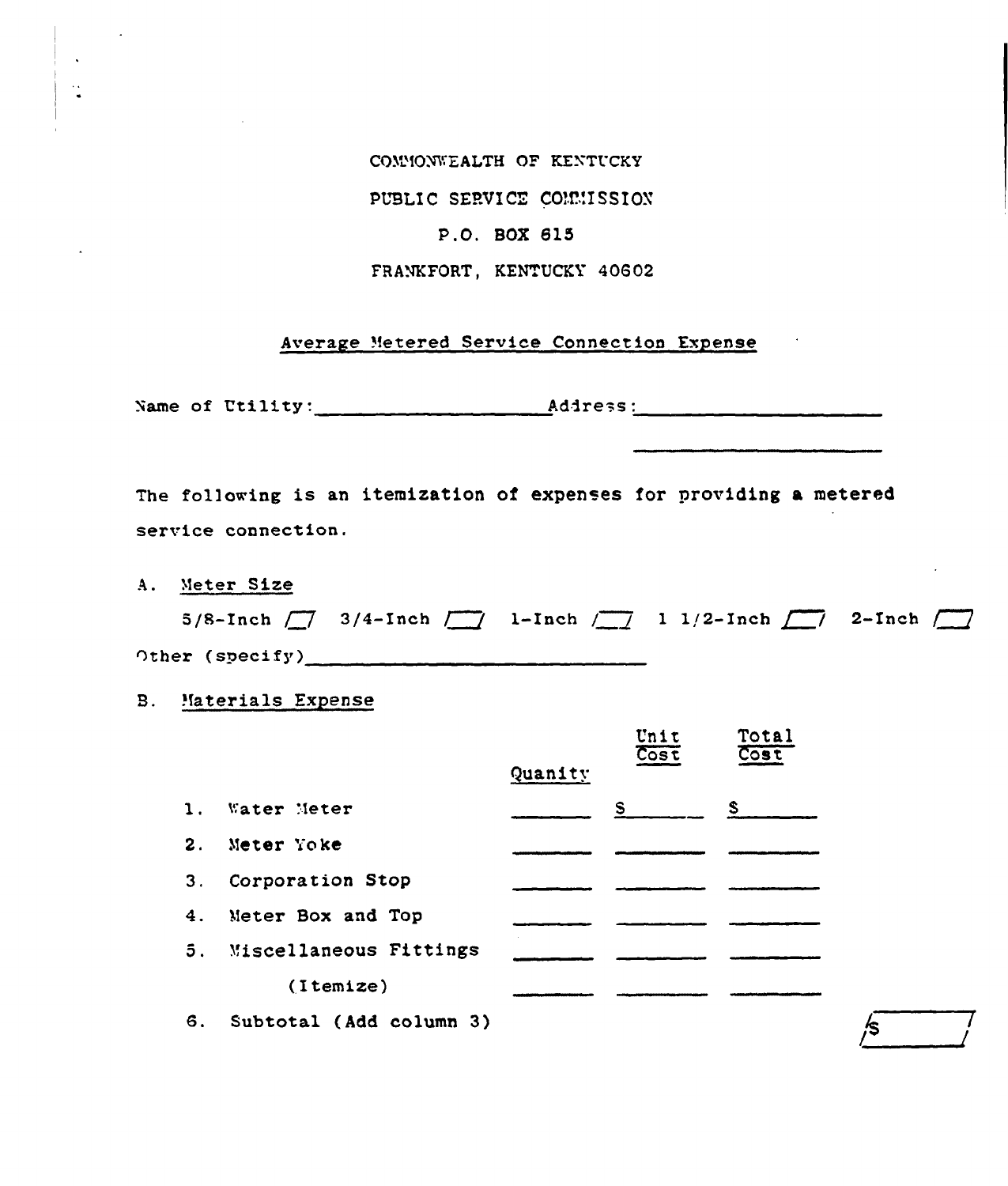COMMONWEALTH OF KENTUCKY

PUBLIC SERVICE COMMISSION

#### P.O. BOX 615

FRANKFORT, KENTUCKY 40602

#### Average Metered Service Connection Expense

Name of Utility: Address:

The following is an itemization of expenses for providing a metered service connection.

A. Meter Size

 $\ddot{\cdot}$ 

|  | 5/8-Inch $\boxed{7}$ 3/4-Inch $\boxed{1}$ 1-Inch $\boxed{1}$ 1 1/2-Inch $\boxed{7}$ 2-Inch $\boxed{7}$ |  |
|--|--------------------------------------------------------------------------------------------------------|--|
|  |                                                                                                        |  |

*ls* 

**B.** Materials Expense

|                |                           |         | Unit<br>$\overline{\text{Cost}}$ | TOTAL<br>$\overline{\text{Cost}}$ |
|----------------|---------------------------|---------|----------------------------------|-----------------------------------|
|                |                           | Quanity |                                  |                                   |
| $\mathbf{1}$ . | Water Meter               |         | S                                | $S_{-}$                           |
| $\mathbf{2}$ . | Meter Yoke                |         |                                  |                                   |
| 3.             | Corporation Stop          |         |                                  |                                   |
| 4.             | Meter Box and Top         |         |                                  |                                   |
|                | 5. Miscellaneous Fittings |         |                                  |                                   |
|                | (Itemize)                 |         |                                  |                                   |
| 6.             | Subtotal (Add column 3)   |         |                                  |                                   |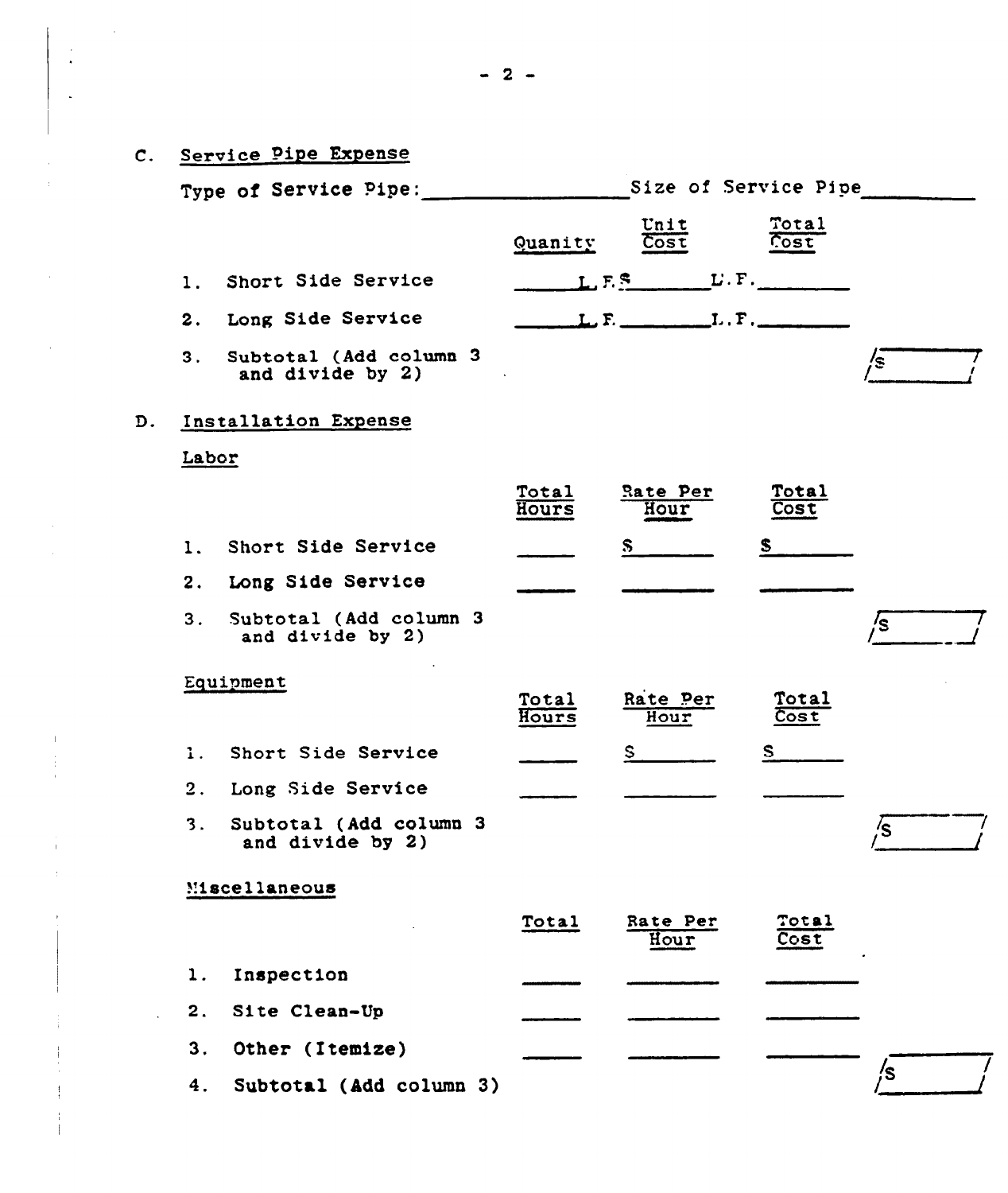|    |       | C. Service Pipe Expense                       |                |                                  |                   |    |
|----|-------|-----------------------------------------------|----------------|----------------------------------|-------------------|----|
|    |       | Type of Service Pipe: Size of Service Pipe    |                |                                  |                   |    |
|    |       |                                               | Quanity        | Unit<br>$\overline{\text{Cost}}$ | Total<br>Cost     |    |
|    | 1.    | Short Side Service                            |                |                                  |                   |    |
|    |       | 2. Long Side Service                          |                | L. F.                            |                   |    |
|    | 3.    | Subtotal (Add column 3)<br>and divide by 2)   |                |                                  |                   | /s |
| D. |       | Installation Expense                          |                |                                  |                   |    |
|    | Labor |                                               |                |                                  |                   |    |
|    |       |                                               | Total<br>Hours | Rate Per<br>Hour                 | Total<br>Cost     |    |
|    | 1.    | Short Side Service                            |                | $S_{\perp}$                      | S.                |    |
|    |       | 2. Long Side Service                          |                |                                  |                   |    |
|    |       | 3. Subtotal (Add column 3<br>and divide by 2) |                |                                  |                   | /s |
|    |       | Equipment                                     | Total<br>Hours | Rate Per<br>Hour                 | Total<br>Cost     |    |
|    |       | 1. Short Side Service                         |                | $S_{-}$                          | $S \qquad \qquad$ |    |
|    |       | 2. Long Side Service                          |                |                                  |                   |    |
|    | 3.    | Subtotal (Add column 3<br>and divide by 2)    |                |                                  |                   | /s |
|    |       | Miscellaneous                                 |                |                                  |                   |    |
|    |       |                                               | <b>Total</b>   | Rate Per<br>Hour                 | Total<br>Cost     |    |
|    | 1.    | Inspection                                    |                |                                  |                   |    |
|    | 2.    | Site Clean-Up                                 |                |                                  |                   |    |
|    | 3.    | Other (Itemize)                               |                |                                  |                   |    |
|    | 4.    | Subtotal (Add column 3)                       |                |                                  |                   | /s |

 $\sim$ 

 $\frac{1}{2}$ 

 $\mathcal{L}_{\mathcal{L}}$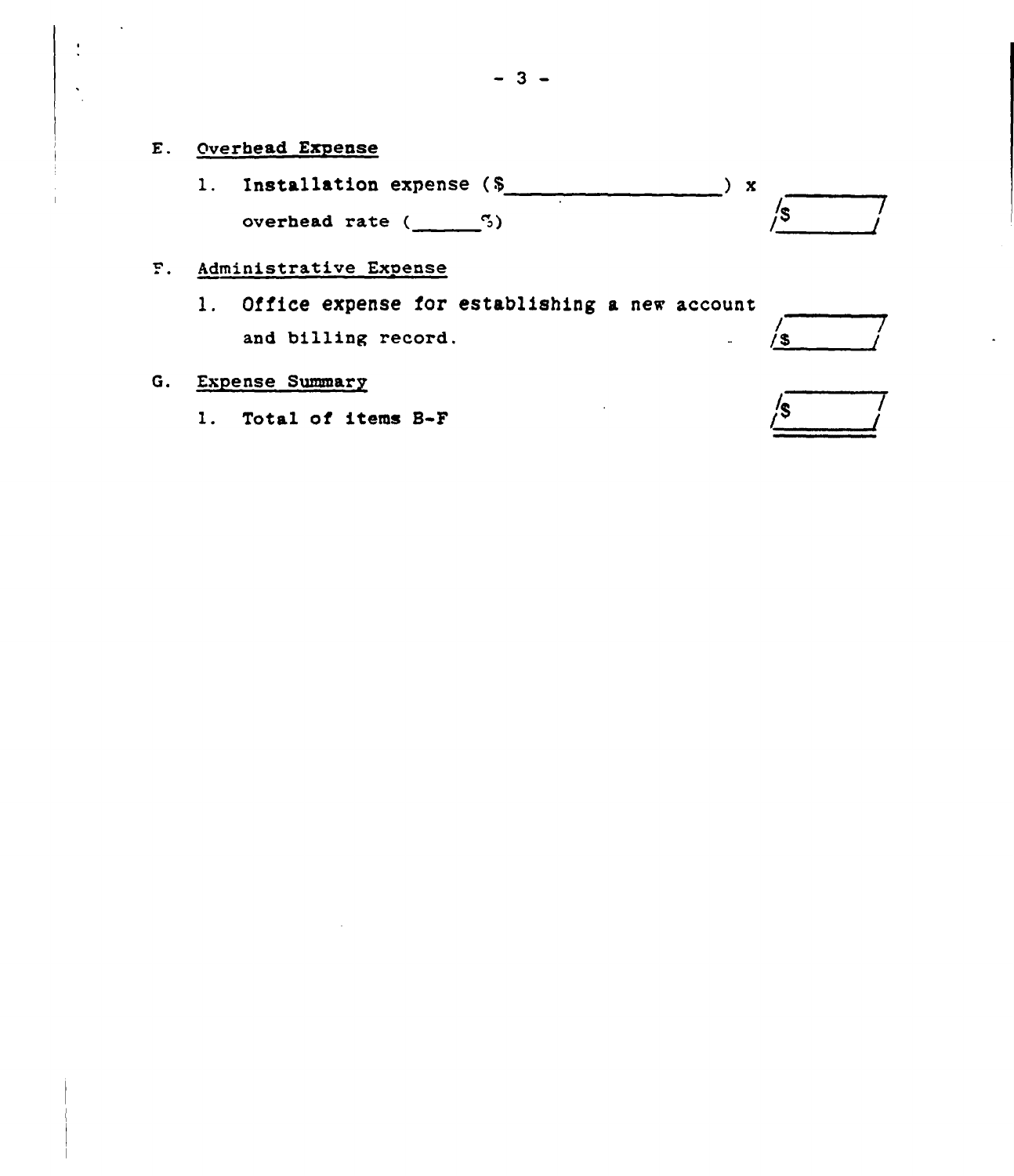- E. Overhead Expense
	- l. Installation expense (5 overhead rate  $($   $\frac{5}{3})$ ) x א<br>ב/
- Administrative Expense
	- 1. Office expense for establishing a new account and billing record.  $\frac{1}{3}$

#### G. Expense Summary

1. Total of items B-F

| 75. |  |
|-----|--|
|     |  |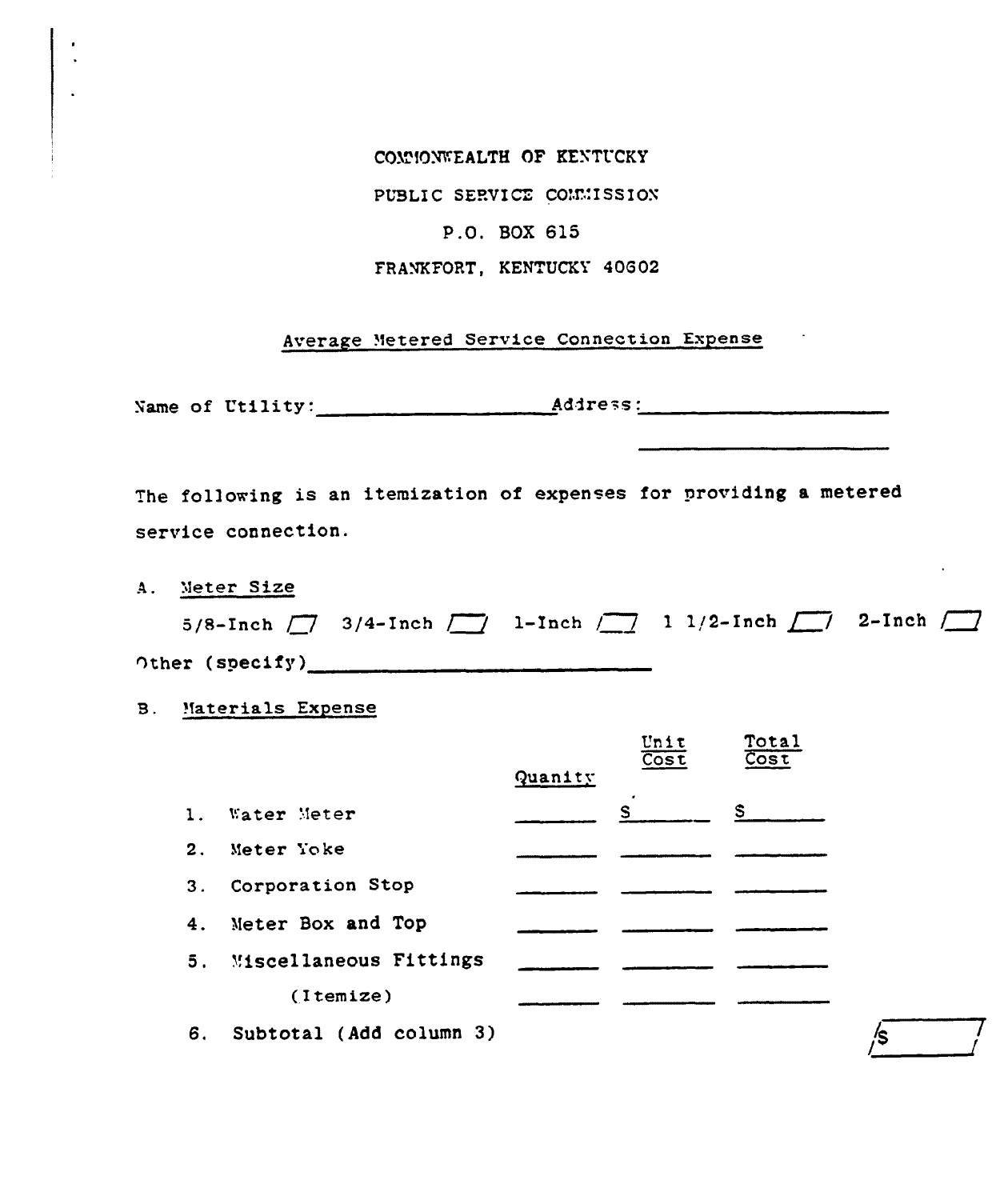COMMONWEALTH OF KENTUCKY

PUBLIC SERVICE COMMISSION

## P.O. BOX 615

#### FRANKFORT, KENTUCKY 40602

## Average Metered Service Connection Expense

Name of Utility: Address:

The following is an itemization of expenses for providing a metered service connection.

A. Meter Size

|                 |  | 5/8-Inch $\boxed{7}$ 3/4-Inch $\boxed{7}$ 1-Inch $\boxed{7}$ 1 1/2-Inch $\boxed{7}$ 2-Inch $\boxed{7}$ |  |
|-----------------|--|--------------------------------------------------------------------------------------------------------|--|
| Other (specify) |  |                                                                                                        |  |

/s and the set of the set of the set of the set of the set of the set of the set of the set of the set of the <br>Allegending the set of the set of the set of the set of the set of the set of the set of the set of the set of<br>

**B.** Materials Expense

|    |                         |         | Unit<br>$\overline{\text{Cost}}$ | Total<br>$\overline{\text{Cost}}$ |
|----|-------------------------|---------|----------------------------------|-----------------------------------|
|    |                         | Quanity |                                  |                                   |
| 1. | Water Meter             |         | S                                | S                                 |
| 2. | Meter Yoke              |         |                                  |                                   |
| 3. | Corporation Stop        |         |                                  |                                   |
| 4. | Meter Box and Top       |         |                                  |                                   |
| 5. | Miscellaneous Fittings  |         |                                  |                                   |
|    | (Itemize)               |         |                                  |                                   |
| 6. | Subtotal (Add column 3) |         |                                  |                                   |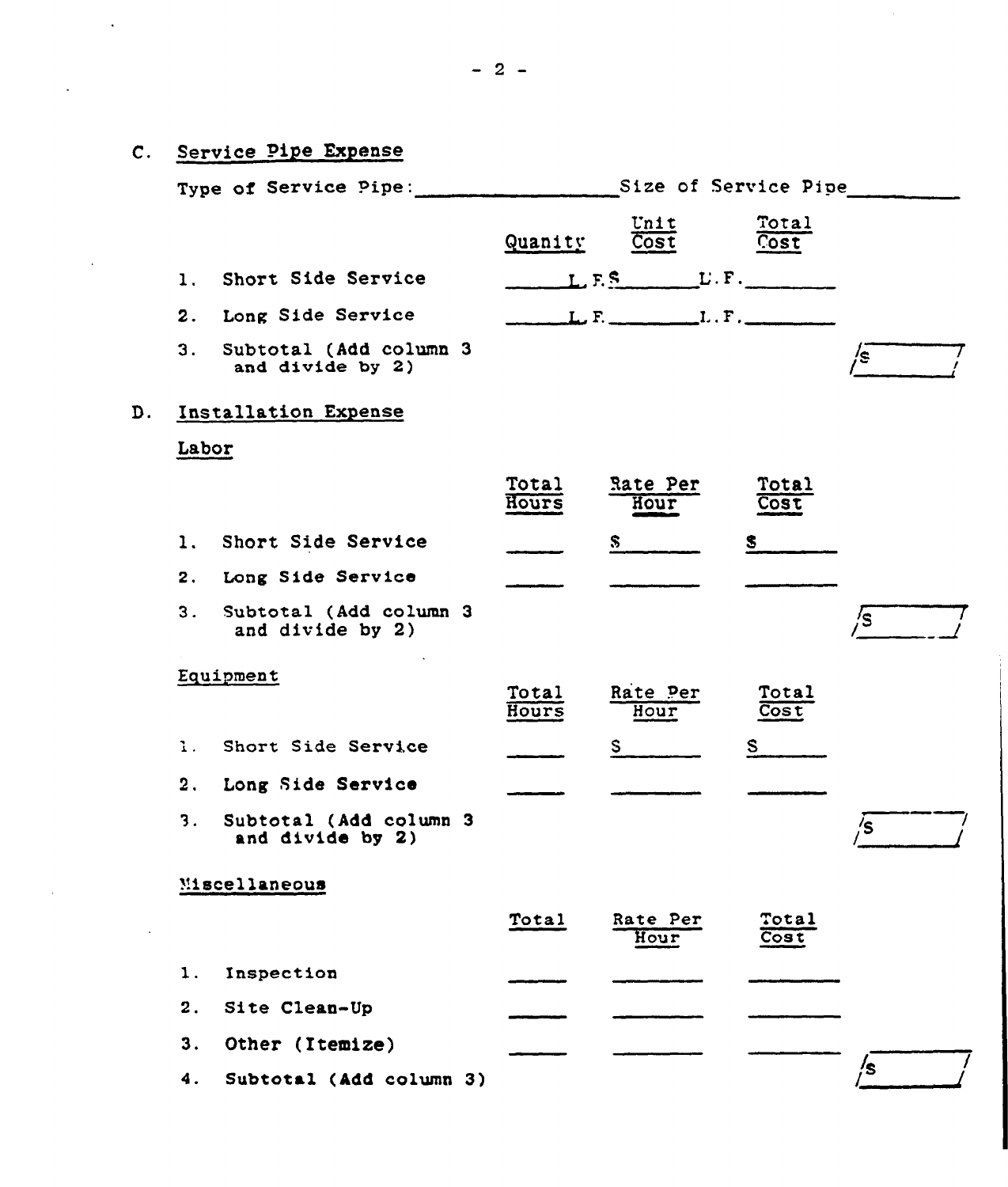| C. Service Pipe Expense                          |                |                  |                 |    |
|--------------------------------------------------|----------------|------------------|-----------------|----|
| Type of Service Pipe: Size of Service Pipe       |                |                  |                 |    |
|                                                  | Quanity        | Unit<br>Cost     | Total<br>Cost   |    |
| Short Side Service<br>$\mathbf{1}$ .             |                |                  |                 |    |
| 2.<br>Long Side Service                          |                | L.F.             |                 |    |
| 3.<br>Subtotal (Add column 3<br>and divide by 2) |                |                  |                 | /s |
| D. Installation Expense                          |                |                  |                 |    |
| Labor                                            |                |                  |                 |    |
|                                                  | Total<br>Hours | Rate Per<br>Hour | Total<br>Cost   |    |
| Short Side Service<br>1.                         |                | S.               | S.              |    |
| Long Side Service<br>2.                          |                |                  |                 |    |
| 3.<br>Subtotal (Add column 3<br>and divide by 2) |                |                  |                 | /s |
| Equipment                                        | Total<br>Hours | Rate Per<br>Hour | Total<br>Cost   |    |
| Short Side Service<br>1.1                        |                | S                | $S_{\parallel}$ |    |
| 2.<br>Long Side Service                          |                |                  |                 |    |
| Subtotal (Add column 3<br>3.<br>and divide by 2) |                |                  |                 | /s |
| Miscellaneous                                    |                |                  |                 |    |
|                                                  | Total          | Rate Per<br>Hour | Total<br>Cost   |    |
| Inspection<br>1.                                 |                |                  |                 |    |
| 2.<br>Site Clean-Up                              |                |                  |                 |    |
| Other (Itemize)<br>3.                            |                |                  |                 |    |
| Subtotal (Add column 3)<br>4.                    |                |                  |                 | /s |

 $\mathcal{L}^{\text{max}}_{\text{max}}$ 

 $\label{eq:2} \frac{1}{\sqrt{2}}\int_{\mathbb{R}^3}\frac{1}{\sqrt{2}}\left(\frac{1}{\sqrt{2}}\right)^2\frac{1}{\sqrt{2}}\left(\frac{1}{\sqrt{2}}\right)^2\frac{1}{\sqrt{2}}\left(\frac{1}{\sqrt{2}}\right)^2.$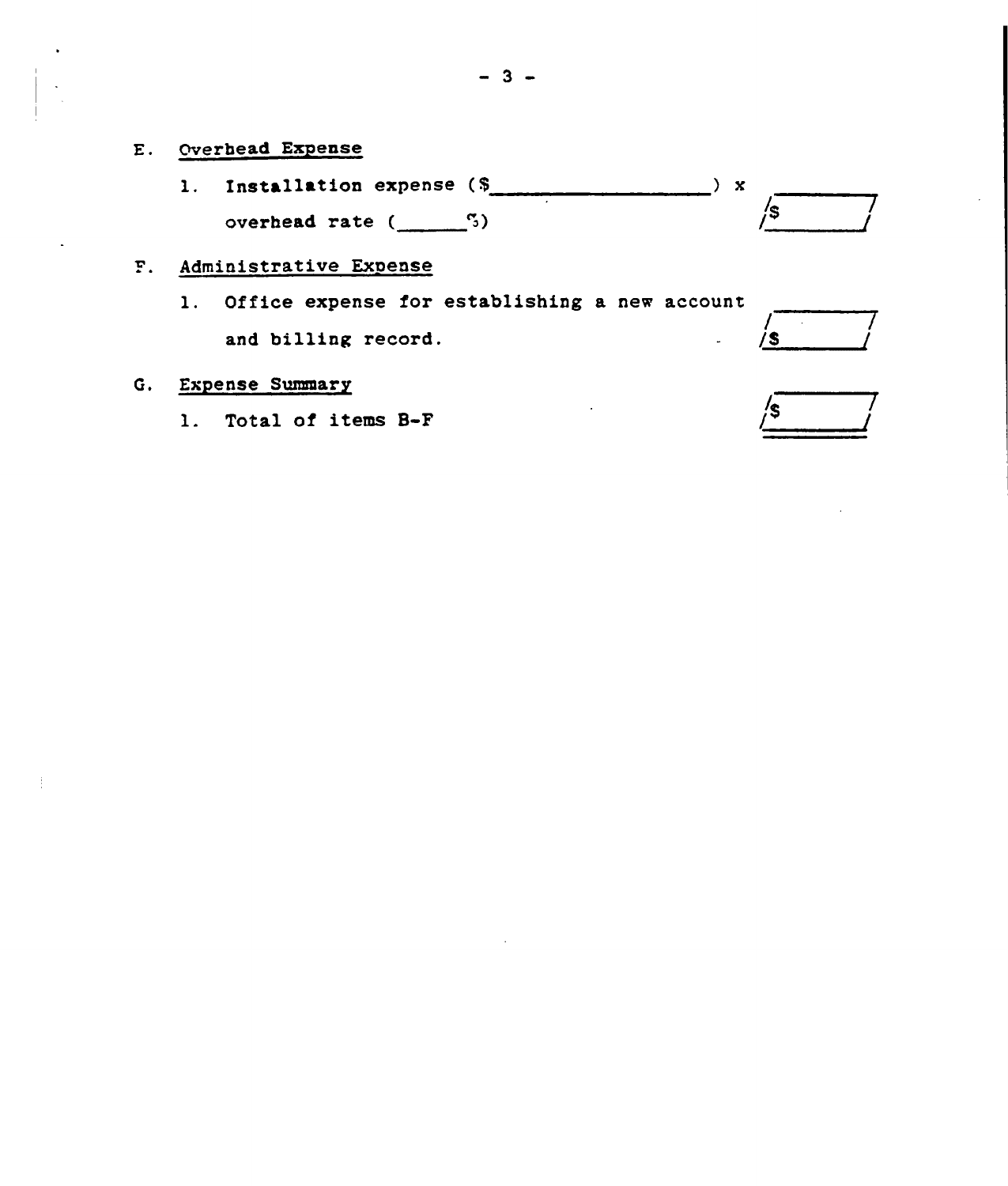- E. Overhead Exyense
	- l. Installation expense (5 overhead rate  $($   $\frac{5}{3})$  $\rightarrow$  x  $\sqrt{s}$

## F. Administrative Expense

l. Office expense for establishing <sup>a</sup> new account and billing record.

## 6, Expense Summary

1. Total of items B-F

| c |  |
|---|--|

 $/5$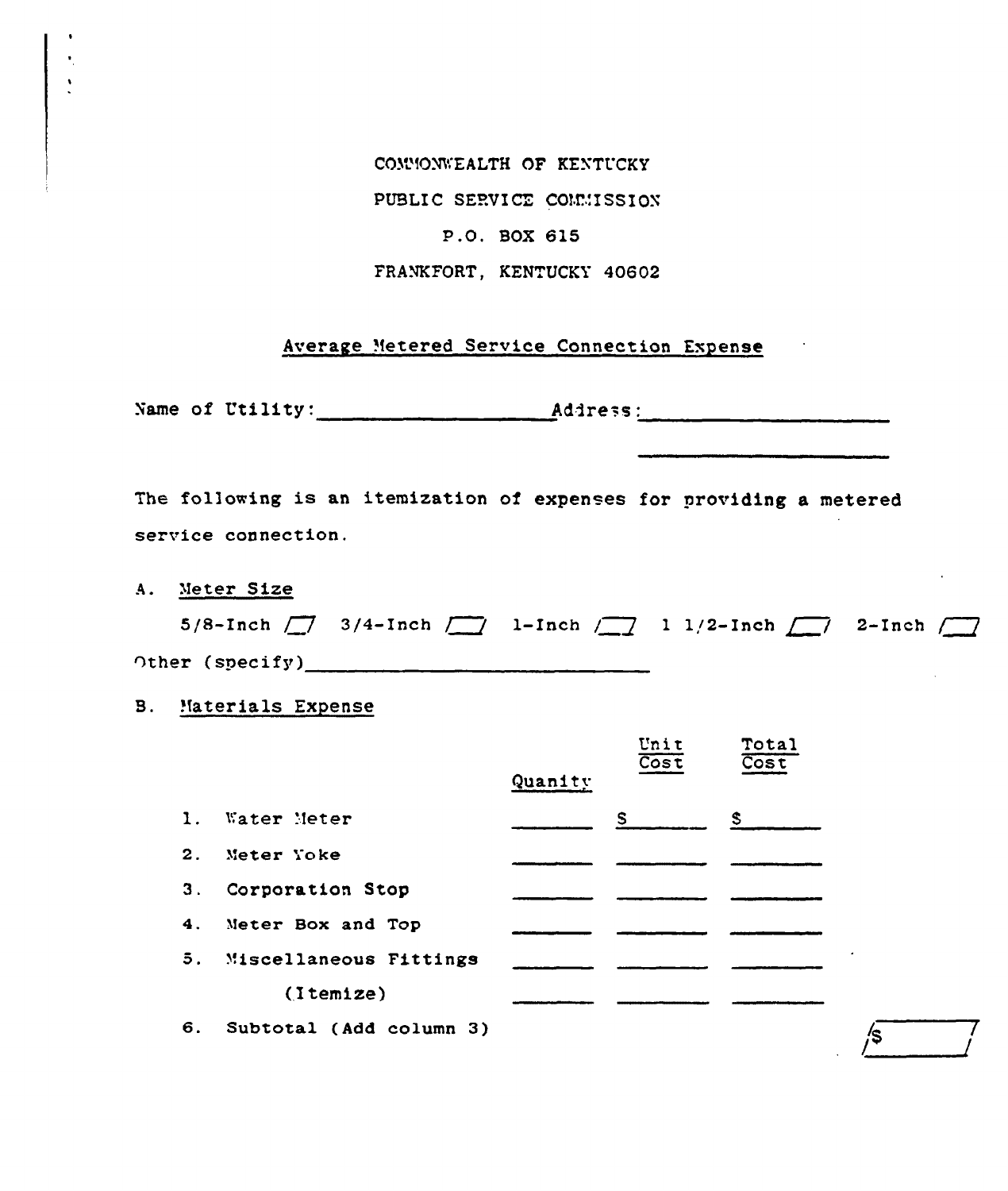COMMONWEALTH OF KENTUCKY

PUBLIC SERVICE COMMISSION

#### P.O. BOX 615

FRANKFORT, KENTUCKY 40602

#### Average Metered Service Connection Expense

Name of Utility: Address:

The following is an itemization of expenses for providing a metered service connection.

A. Meter Size

|                        | 5/8-Inch $\boxed{7}$ 3/4-Inch $\boxed{1}$ 1-Inch $\boxed{7}$ 1 1/2-Inch $\boxed{7}$ 2-Inch $\boxed{7}$ |  |  |
|------------------------|--------------------------------------------------------------------------------------------------------|--|--|
| $\cap$ ther (specify)_ |                                                                                                        |  |  |

**B.** Materials Expense

|                |                           |         | Unit<br>$\overline{\text{Cost}}$ | Total<br>Cost |
|----------------|---------------------------|---------|----------------------------------|---------------|
|                |                           | Quanity |                                  |               |
| 1.             | Water Meter               |         | S.                               | S.            |
| 2 <sub>1</sub> | Meter Yoke                |         |                                  |               |
| 3.             | Corporation Stop          |         |                                  |               |
| 4.             | Meter Box and Top         |         |                                  |               |
|                | 5. Miscellaneous Fittings |         |                                  |               |
|                | (Itemize)                 |         |                                  |               |
| 6.             | Subtotal (Add column 3)   |         |                                  |               |

∕\$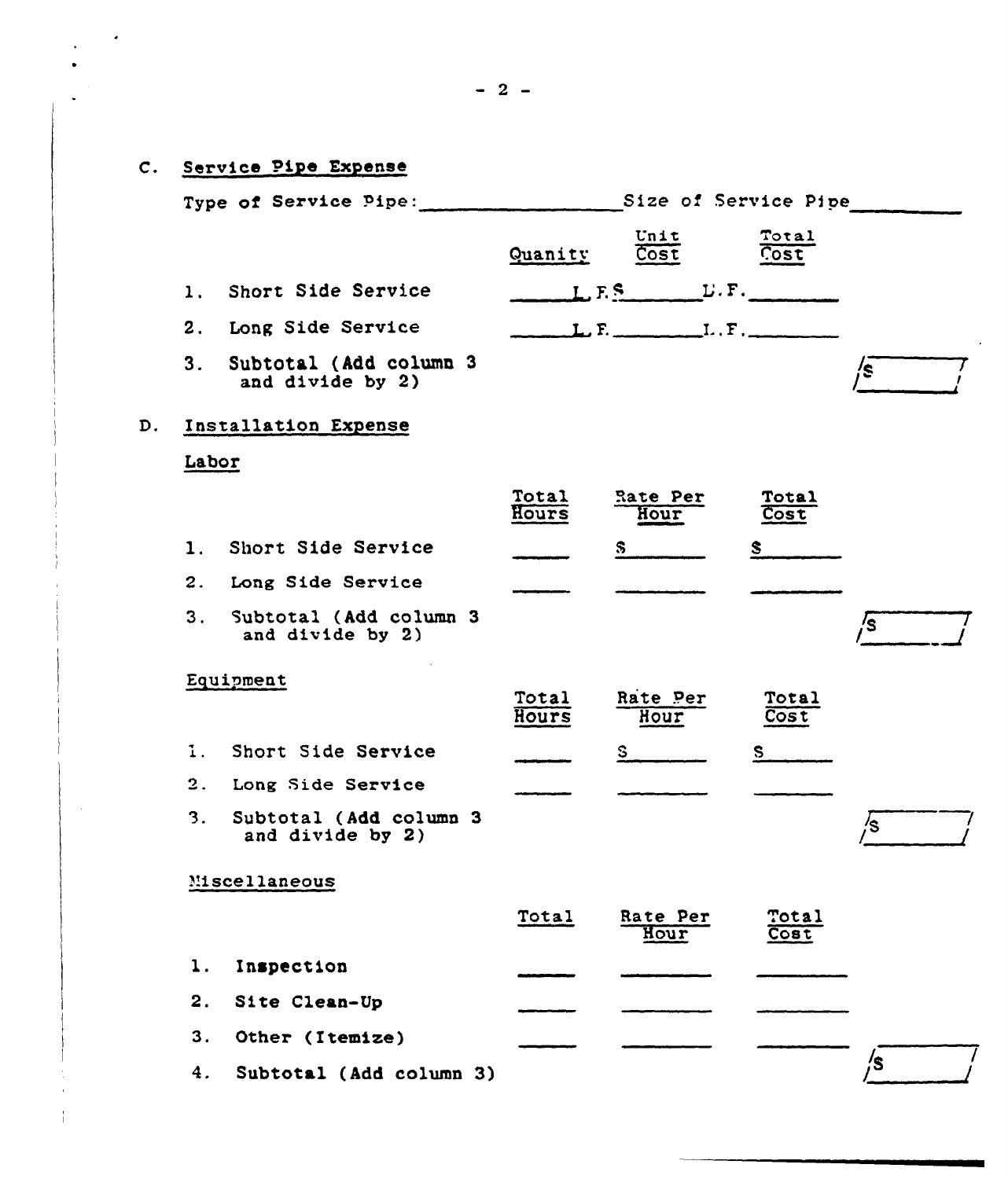#### C. Service Pipe Expense Type of Service Pipe: Size of Service Pipe Unit Total  $\overline{\text{Cost}}$ Cost Quanity Short Side Service  $1.1$  $L.F.S$   $L.F.$  $L, F, \ldots, L, F, \ldots$ 2. Long Side Service  $3.$ Subtotal (Add column 3 's and divide by 2) D. Installation Expense Labor Total Rate Per **Total** Hours Cost Hour 1. Short Side Service S.  $\mathbf{s}$ 2. Long Side Service  $3.$ Subtotal (Add column 3 /s and divide by 2) Equipment Total Rate Per Total Cost Hours Hour 1. Short Side Service S.  $S_{\perp}$ 2. Long Side Service  $3.$ Subtotal (Add column 3 /s and divide by 2) Miscellaneous Total Rate Per Total Hour Cost  $1.$ Inspection  $2.$ Site Clean-Up  $3.$ Other (Itemize) /s  $4.$ Subtotal (Add column 3)